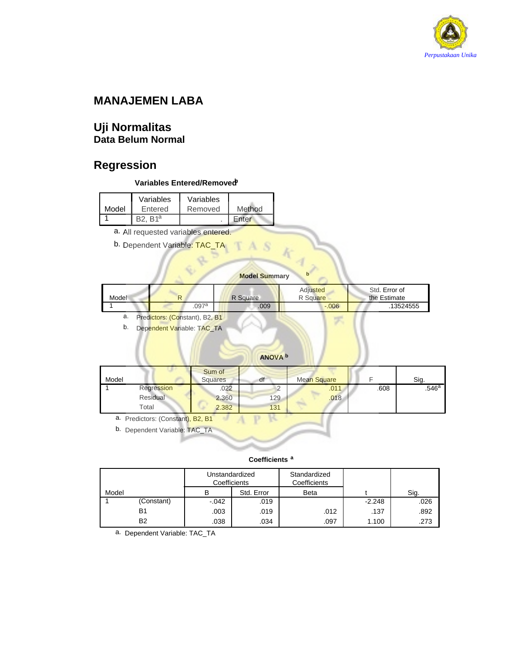

# **MANAJEMEN LABA**

### **Uji Normalitas Data Belum Normal**

# **Regression**

### **Variables Entered/Removedb**

| Model | Variables<br>Entered | Variables<br>Removed | Method |
|-------|----------------------|----------------------|--------|
|       | R1 <sup>a</sup>      |                      | Enter  |

a. All requested variables entered.

b. Dependent Variable: TAC\_TA

### **Model Summary <sup>b</sup>**

S

|       |    |       |          | Adjusted | Std. Error of |
|-------|----|-------|----------|----------|---------------|
| Model | D. |       | R Square | P Square | the Estimate  |
|       |    | .097a | .009     | $-0.006$ | 13524555      |

a. Predictors: (Constant), B2, B1

b. Dependent Variable: TAC\_TA

### **ANOVA <sup>b</sup>**

| Model |            | Sum of<br><b>Squares</b> | df  | Mean Square |      | Sig.                |
|-------|------------|--------------------------|-----|-------------|------|---------------------|
|       | Regression | .022                     |     | .011        | .608 | $.546^{\mathrm{a}}$ |
|       | Residual   | 2.360                    | 129 | .018        |      |                     |
|       | Total      | 2.382                    | 131 |             |      |                     |

a. Predictors: (Constant), B2, B1

b. Dependent Variable: TAC\_TA

### **Coefficients <sup>a</sup>**

|       |                | Unstandardized<br>Coefficients |            | Standardized<br>Coefficients |          |      |
|-------|----------------|--------------------------------|------------|------------------------------|----------|------|
| Model |                | в                              | Std. Error | Beta                         |          | Sig. |
|       | (Constant)     | $-.042$                        | .019       |                              | $-2.248$ | .026 |
|       | B1             | .003                           | .019       | .012                         | .137     | .892 |
|       | B <sub>2</sub> | .038                           | .034       | .097                         | 1.100    | .273 |

a. Dependent Variable: TAC\_TA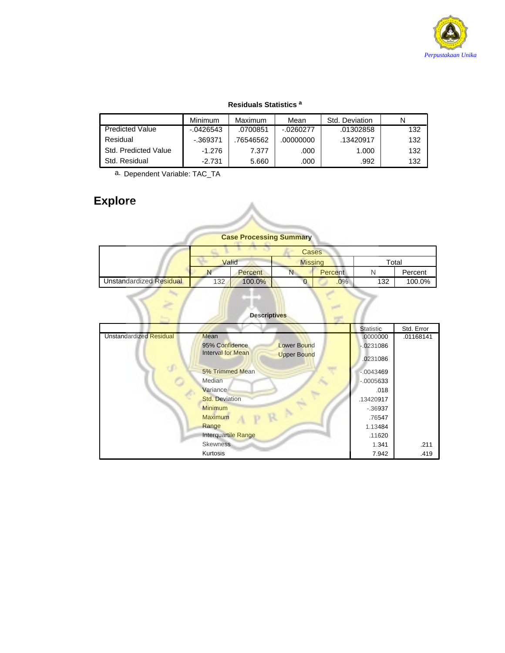

### **Residuals Statistics <sup>a</sup>**

|                             | <b>Minimum</b> | Maximum   | Mean         | Std. Deviation | N   |
|-----------------------------|----------------|-----------|--------------|----------------|-----|
| <b>Predicted Value</b>      | $-0.0426543$   | .0700851  | $-0.0260277$ | .01302858      | 132 |
| Residual                    | -.369371       | .76546562 | .00000000    | .13420917      | 132 |
| <b>Std. Predicted Value</b> | $-1.276$       | 7.377     | .000         | 1.000          | 132 |
| Std. Residual               | $-2.731$       | 5.660     | .000         | .992           | 132 |

a. Dependent Variable: TAC\_TA

# **Explore**

**Case Processing Summary**

|                                |       |                | <b>Cases</b>   |             |     |         |
|--------------------------------|-------|----------------|----------------|-------------|-----|---------|
|                                | Valid |                | <b>Missing</b> |             |     | Total   |
|                                |       | <b>Percent</b> | N              | Percent     |     | Percent |
| <b>Unstandardized Residual</b> | 132   | 100.0%         |                | .0%         | 132 | 100.0%  |
|                                |       |                |                | <b>Cold</b> |     |         |

|                                | <b>Descriptives</b>                            |                  |            |
|--------------------------------|------------------------------------------------|------------------|------------|
|                                |                                                | <b>Statistic</b> | Std. Error |
| <b>Unstandardized Residual</b> | Mean                                           | .0000000         | .01168141  |
|                                | <b>Lower Bound</b><br>95% Confidence           | $-0231086$       |            |
|                                | <b>Interval for Mean</b><br><b>Upper Bound</b> | 0231086          |            |
|                                | 5% Trimmed Mean                                | $-.0043469$      |            |
|                                | Median                                         | $-.0005633$      |            |
|                                | Variance                                       | .018             |            |
|                                | <b>Std. Deviation</b>                          | .13420917        |            |
|                                | <b>Minimum</b>                                 | $-0.36937$       |            |
|                                | <b>Maximum</b>                                 | .76547           |            |
|                                | Range                                          | 1.13484          |            |
|                                | Interquartile Range                            | .11620           |            |
|                                | <b>Skewness</b>                                | 1.341            | .211       |
|                                | Kurtosis                                       | 7.942            | .419       |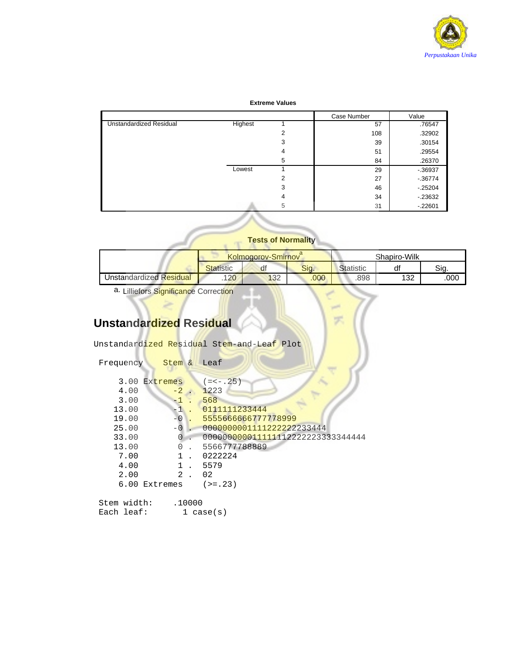

### **Extreme Values**

|                                |         |   | Case Number | Value      |
|--------------------------------|---------|---|-------------|------------|
| <b>Unstandardized Residual</b> | Highest |   | 57          | .76547     |
|                                |         | 2 | 108         | .32902     |
|                                |         | 3 | 39          | .30154     |
|                                |         | 4 | 51          | .29554     |
|                                |         | 5 | 84          | .26370     |
|                                | Lowest  |   | 29          | $-0.36937$ |
|                                |         | 2 | 27          | $-36774$   |
|                                |         | 3 | 46          | $-25204$   |
|                                |         | 4 | 34          | $-23632$   |
|                                |         | 5 | 31          | $-22601$   |

### **Tests of Normality**

|                         |                  | Kolmoαorov-Smirnov` |      | Shapiro-Wilk     |          |      |
|-------------------------|------------------|---------------------|------|------------------|----------|------|
|                         | <b>Statistic</b> | df                  | Sia. | <b>Statistic</b> | d1       | Sia. |
| Unstandardized Residual | 120              | 132                 | .000 | .898             | 122<br>ັ | .000 |

æ

a. Lilliefors Significance Correction

# **Unstandardized Residual**

Unstandardized Residual Stem-and-Leaf Plot

| Frequency                                                                         | Stem &                                        | Leaf                                                                                                                                                                          |
|-----------------------------------------------------------------------------------|-----------------------------------------------|-------------------------------------------------------------------------------------------------------------------------------------------------------------------------------|
| 4.00<br>3.00<br>13.00<br>19.00<br>25.00<br>33.00<br>13.00<br>7.00<br>4.00<br>2.00 | 3.00 Extremes<br>$-2.$<br>1.<br>$\mathcal{L}$ | $(=<-.25)$<br>1223<br>568<br>0111111233444<br>5555666666777778999<br>0000000001111222222233444<br>000000000011111112222223333344444<br>5566777788889<br>0222224<br>5579<br>02 |
|                                                                                   | 6.00 Extremes                                 | $(>=.23)$                                                                                                                                                                     |

ent.

| Stem width: | .10000    |
|-------------|-----------|
| Each leaf:  | 1 case(s) |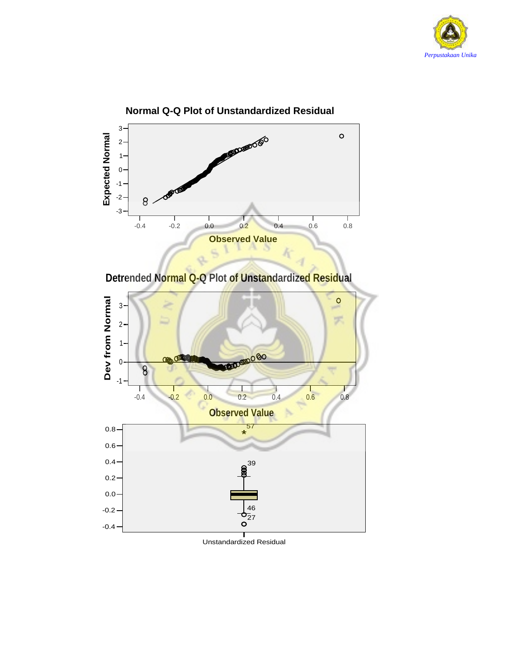

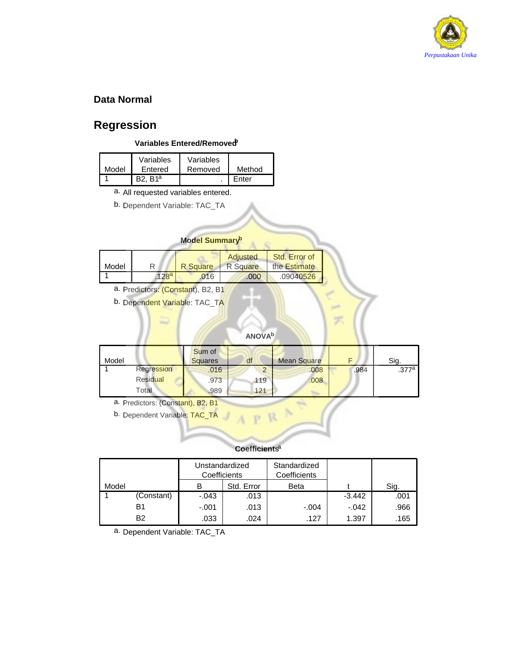

### **Data Normal**

# **Regression**

### **Variables Entered/Removedb**

| Model | Variables<br>Entered | Variables<br>Removed | Method |
|-------|----------------------|----------------------|--------|
|       | R <sub>1a</sub>      |                      | Enter  |

a. All requested variables entered.

b. Dependent Variable: TAC\_TA

### **Model Summaryb**

| Model |                  | R Square | Adjusted<br>R Square | Std. Error of<br>the Estimate |
|-------|------------------|----------|----------------------|-------------------------------|
|       | 128 <sup>a</sup> | .016     | .000                 | .09040526                     |

- a. Predictors: (Constant), B2, B1
- b. Dependent Variable: TAC\_TA

### **ANOVAb**

| Model |            | Sum of<br><b>Squares</b> | df  | <b>Mean Square</b> |      | Sig.  |
|-------|------------|--------------------------|-----|--------------------|------|-------|
|       | Regression | .016                     |     | .008               | .984 | .377a |
|       | Residual   | .973                     | 119 | .008               |      |       |
|       | Total      | .989                     | 121 |                    |      |       |

a. Predictors: (Constant), B2, B1

b. Dependent Variable: TAC\_TA

### **Coefficientsa**

|       |            | Unstandardized<br>Coefficients |            | Standardized<br>Coefficients |          |      |
|-------|------------|--------------------------------|------------|------------------------------|----------|------|
| Model |            | в                              | Std. Error | <b>Beta</b>                  |          | Sig. |
|       | (Constant) | $-.043$                        | .013       |                              | $-3.442$ | .001 |
|       | B1         | $-.001$                        | .013       | $-.004$                      | $-.042$  | .966 |
|       | <b>B2</b>  | .033                           | .024       | .127                         | 1.397    | .165 |

a. Dependent Variable: TAC\_TA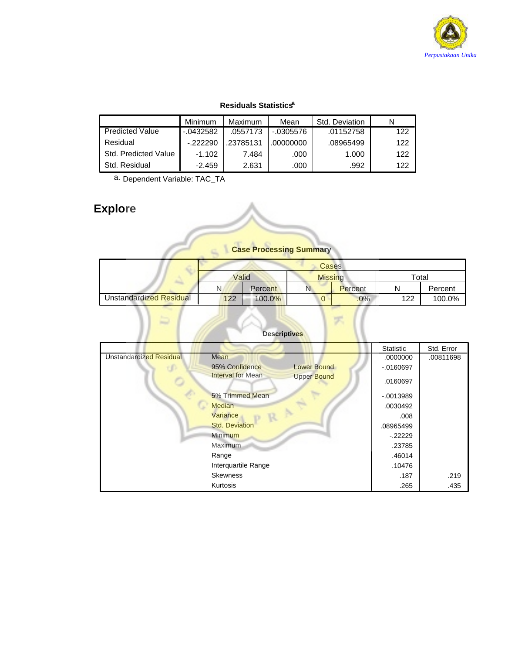

### **Residuals Statisticsa**

|                        | Minimum      | Maximum   | Mean       | Std. Deviation |     |
|------------------------|--------------|-----------|------------|----------------|-----|
| <b>Predicted Value</b> | $-0.0432582$ | .0557173  | $-0305576$ | .01152758      | 122 |
| Residual               | $-222290$    | .23785131 | .00000000  | .08965499      | 122 |
| Std. Predicted Value   | $-1.102$     | 7.484     | .000       | 1.000          | 122 |
| Std. Residual          | $-2.459$     | 2.631     | .000       | .992           | 122 |

a. Dependent Variable: TAC\_TA

₽

ċ

# **Explore**

### **Case Processing Summary**

|                         |       |         | <b>Cases</b>   |         |       |         |
|-------------------------|-------|---------|----------------|---------|-------|---------|
|                         | Valid |         | <b>Missing</b> |         | Total |         |
|                         | N     | Percent | N.             | Percent |       | Percent |
| Unstandardized Residual | 122   | 100.0%  | U              | .0%     | 122   | 100.0%  |

### **Descriptives**

末

|                                |                                         | <b>Statistic</b> | Std. Error |
|--------------------------------|-----------------------------------------|------------------|------------|
| <b>Unstandardized Residual</b> | Mean                                    | .0000000         | .00811698  |
|                                | <b>Lower Bound</b><br>95% Confidence    | $-0160697$       |            |
|                                | Interval for Mean<br><b>Upper Bound</b> | .0160697         |            |
|                                | 5% Trimmed Mean                         | $-0013989$       |            |
|                                | <b>Median</b>                           | .0030492         |            |
|                                | Variance                                | .008             |            |
|                                | <b>Std. Deviation</b>                   | .08965499        |            |
|                                | Minimum                                 | $-22229$         |            |
|                                | Maximum                                 | .23785           |            |
|                                | Range                                   | .46014           |            |
|                                | Interquartile Range                     | .10476           |            |
|                                | <b>Skewness</b>                         | .187             | .219       |
|                                | Kurtosis                                | .265             | .435       |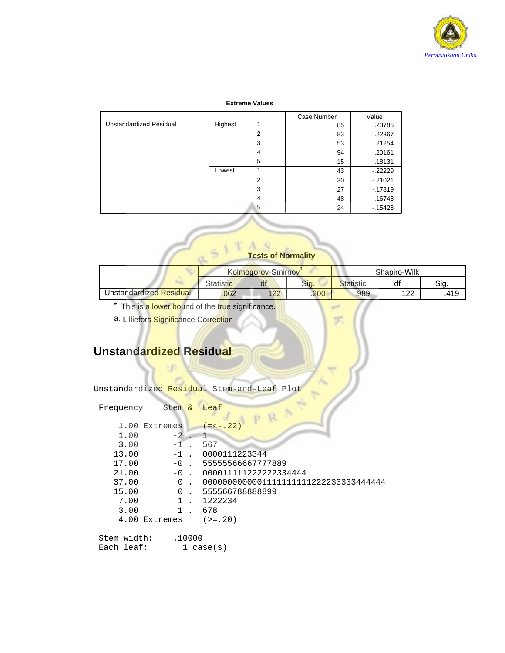

### **Extreme Values**

|                         |         |   | Case Number | Value    |
|-------------------------|---------|---|-------------|----------|
| Unstandardized Residual | Highest |   | 85          | .23785   |
|                         |         | 2 | 83          | .22367   |
|                         |         | 3 | 53          | .21254   |
|                         |         | 4 | 94          | .20161   |
|                         |         | 5 | 15          | .18131   |
|                         | Lowest  |   | 43          | $-22229$ |
|                         |         | 2 | 30          | $-21021$ |
|                         |         | 3 | 27          | $-17819$ |
|                         |         | 4 | 48          | $-16748$ |
|                         |         | 5 | 24          | $-15428$ |

### **Tests of Normality**

|                         | __<br>Kolmogorov-Smirnov |     |         | Shapiro-Wilk |          |      |
|-------------------------|--------------------------|-----|---------|--------------|----------|------|
|                         | Statistic                | uı  | Sig.    | Statistic    | df       | Sia. |
| Jnstandardized Residual | .062                     | 122 | $.200*$ | .989         | ィっつ<br>▵ | .419 |

- \* This is a lower bound of the true significance.
- a. Lilliefors Significance Correction

# **Unstandardized Residual**

| Unstandardized Residual Stem-and-Leaf Plot |  |  |
|--------------------------------------------|--|--|
|                                            |  |  |

| Frequency     | Stem &       | Leaf                                  |
|---------------|--------------|---------------------------------------|
|               |              |                                       |
| 1.00          | Extremes     | $(=<-.22)$                            |
| 1.00          | -2           |                                       |
| 3.00          |              | 567                                   |
| 13.00         | $-1$         | 0000111223344                         |
| 17.00         | $-0$ .       | 55555566667777889                     |
| 21.00         | $-0$ .       | 000011111222222334444                 |
| 37.00         | 0            | 0000000000001111111111222233333444444 |
| 15.00         | $\Omega$     | 555566788888899                       |
| 7.00          | $\mathbf{1}$ | 1222234                               |
| 3.00          | 1            | 678                                   |
| 4.00 Extremes |              | $(>=.20)$                             |
|               |              |                                       |
| Stem width:   | .10000       |                                       |
| Each leaf:    |              | $1 \case(s)$                          |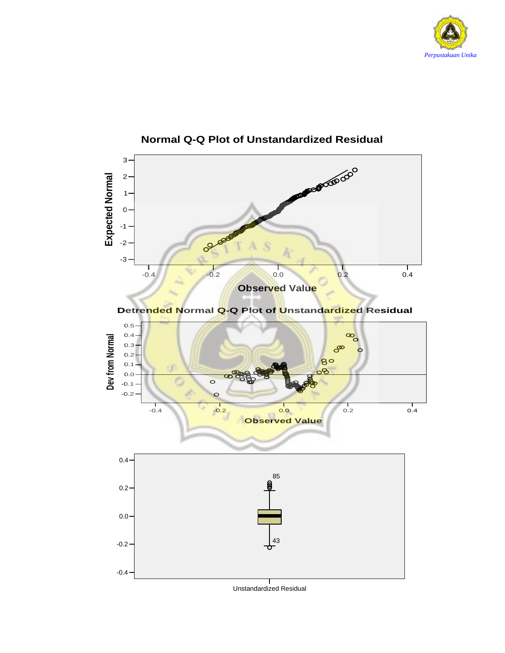





Unstandardized Residual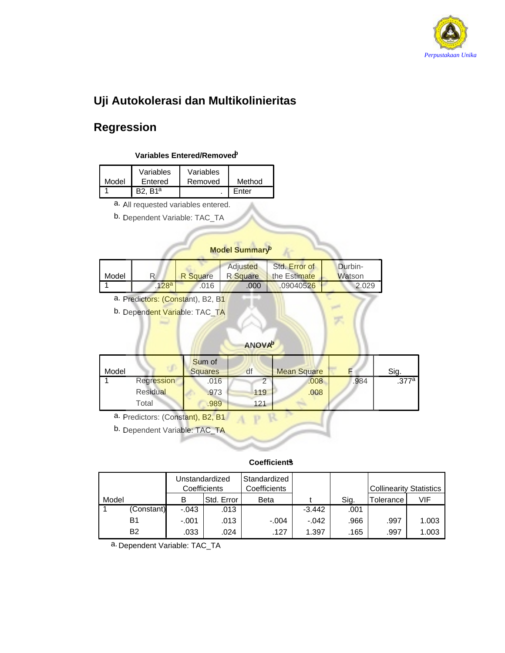

# **Uji Autokolerasi dan Multikolinieritas**

# **Regression**

### **Variables Entered/Removedb**

| Model | Variables<br>Entered | Variables<br>Removed | Method |
|-------|----------------------|----------------------|--------|
|       | ` R1ª                |                      | Enter  |

a. All requested variables entered.

b. Dependent Variable: TAC\_TA

### **Model Summaryb**

| Model |       | <b>R</b> Square | Adiusted | Std. Error of<br>R Square the Estimate | Durbin-<br><b>Watson</b> |
|-------|-------|-----------------|----------|----------------------------------------|--------------------------|
|       | .128a | 016             | .000     | .09040526                              | 2.029                    |

a. Predictors: (Constant), B2, B1

b. Dependent Variable: TAC\_TA

### **ANOVAb**

| Model |            | Sum of<br><b>Squares</b> | df  | <b>Mean Square</b> |      | Sig.  |
|-------|------------|--------------------------|-----|--------------------|------|-------|
|       | Regression | .016                     |     | .008               | .984 | .377a |
|       | Residual   | .973                     | 119 | .008               |      |       |
|       | Total      | .989                     | 121 |                    |      |       |

a. Predictors: (Constant), B2, B1

b. Dependent Variable: TAC\_TA

### **Coefficientsa**

|       |            |         | Unstandardized<br>Coefficients | Standardized<br>Coefficients |          |      | Collinearity Statistics |       |
|-------|------------|---------|--------------------------------|------------------------------|----------|------|-------------------------|-------|
| Model |            | В       | Std. Error                     | Beta                         |          | Sig. | Tolerance               | VIF   |
|       | (Constant) | $-.043$ | .013                           |                              | $-3.442$ | .001 |                         |       |
|       | B1         | $-.001$ | .013                           | $-.004$                      | $-.042$  | .966 | .997                    | 1.003 |
|       | <b>B2</b>  | .033    | .024                           | .127                         | 1.397    | .165 | .997                    | 1.003 |

a. Dependent Variable: TAC\_TA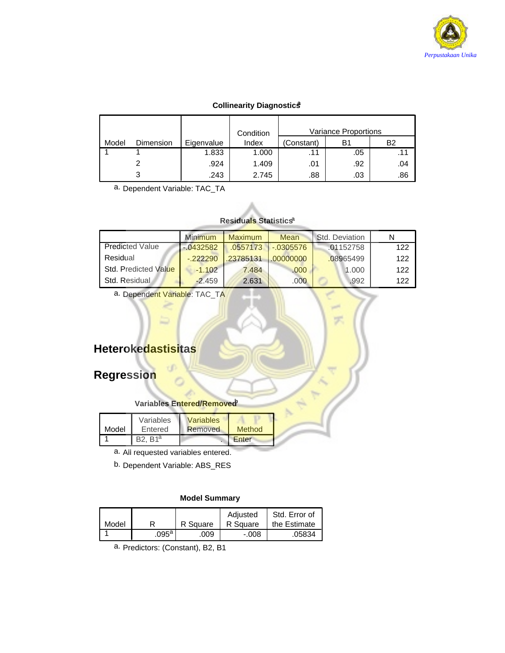

### **Collinearity Diagnostics**

|       |           |            | Condition | <b>Variance Proportions</b> |     |     |
|-------|-----------|------------|-----------|-----------------------------|-----|-----|
| Model | Dimension | Eigenvalue | Index     | (Constant)                  | B1  | Β2  |
|       |           | 1.833      | 1.000     |                             | .05 | .11 |
|       |           | .924       | 1.409     | .01                         | .92 | .04 |
|       |           | .243       | 2.745     | .88                         | .03 | .86 |

a. Dependent Variable: TAC\_TA

### **Residuals Statisticsa**

|                        | <b>Minimum</b> | <b>Maximum</b> | Mean              | Std. Deviation |     |
|------------------------|----------------|----------------|-------------------|----------------|-----|
| <b>Predicted Value</b> | $-0.0432582$   |                | 0557173 - 0305576 | .01152758      | 122 |
| Residual               | $-222290$      | .23785131      | 00000000          | .08965499      | 122 |
| Std. Predicted Value   | $-1.102$       | 7.484          | .000              | 1.000          | 122 |
| Std. Residual.         | $-2.459$       | 2.631          | .000              | .992           | 122 |

a. Dependent Variable: TAC\_TA

# **Heterokedastisitas**

# **Regression**

### **Variables Entered/Removed**

| Model | Variables<br>Entered | <b>Variables</b><br>Removed | Method |  |
|-------|----------------------|-----------------------------|--------|--|
|       | $R$ <sub>1</sub> a   |                             | Enter  |  |

a. All requested variables entered.

b. Dependent Variable: ABS\_RES

### **Model Summary**

| Model |       | R Square | Adiusted<br>R Square | Std. Error of<br>the Estimate |
|-------|-------|----------|----------------------|-------------------------------|
|       | .095ª | .009     | $-.008$              | .05834                        |

a. Predictors: (Constant), B2, B1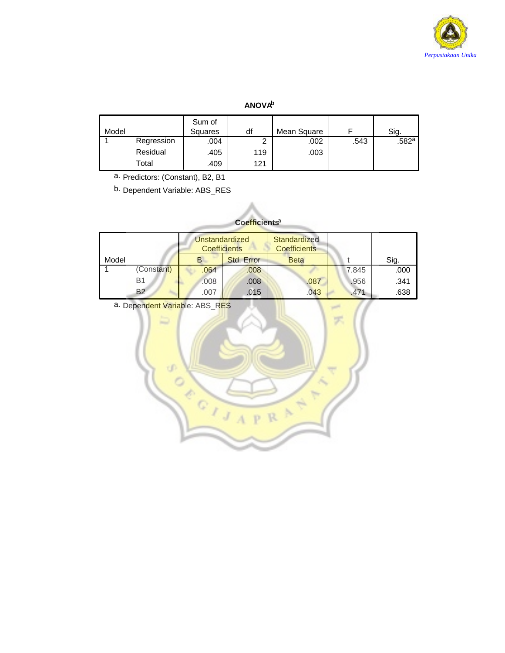

### **ANOVAb**

| Model |            | Sum of<br>Squares | df  | Mean Square |      | Sig.              |
|-------|------------|-------------------|-----|-------------|------|-------------------|
|       | Regression | .004              | ◠   | .002        | .543 | .582 <sup>a</sup> |
|       | Residual   | .405              | 119 | .003        |      |                   |
|       | Total      | .409              | 121 |             |      |                   |

a. Predictors: (Constant), B2, B1

b. Dependent Variable: ABS\_RES

### **Coefficientsa**

|       |            | Unstandardized<br><b>Coefficients</b> |            | Standardized<br><b>Coefficients</b> |       |      |
|-------|------------|---------------------------------------|------------|-------------------------------------|-------|------|
| Model |            |                                       | Std. Error | <b>Beta</b>                         |       | Sig. |
|       | (Constant) | .064                                  | .008       |                                     | 7.845 | .000 |
|       | <b>B1</b>  | .008                                  | .008       | .087                                | .956  | .341 |
|       | <b>B2</b>  | .007                                  | .015       | .043                                | .471  | .638 |

a. Dependent Variable: ABS\_RES

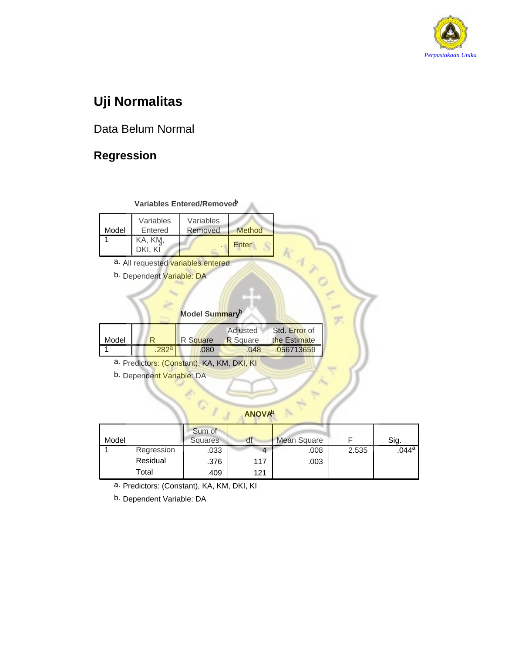

# **Uji Normalitas**

# Data Belum Normal

# **Regression**

### Variables Entered/Removed<sup>b</sup>

| Model | Variables<br>Entered | Variables<br>Removed | Method |
|-------|----------------------|----------------------|--------|
|       | KA, KM,<br>DKI. KI   |                      | Enter  |

- a. All requested variables entered.
- b. Dependent Variable: DA

### **Model Summaryb**

| Model |                  | R Square | Adjusted<br><b>R</b> Square | Std. Error of<br>the Estimate |
|-------|------------------|----------|-----------------------------|-------------------------------|
|       | 282 <sup>a</sup> | .080     | .048                        | .056713659                    |

Ç

- a. Predictors: (Constant), KA, KM, DKI, KI
- b. Dependent Variable: DA

### **ANOVAb**

| Model |            | Sum of<br>Squares | df  | <b>Mean Square</b> |       | Sig.  |
|-------|------------|-------------------|-----|--------------------|-------|-------|
|       | Regression | .033              |     | .008               | 2.535 | .044a |
|       | Residual   | .376              | 117 | .003               |       |       |
|       | Total      | .409              | 121 |                    |       |       |

a. Predictors: (Constant), KA, KM, DKI, KI

b. Dependent Variable: DA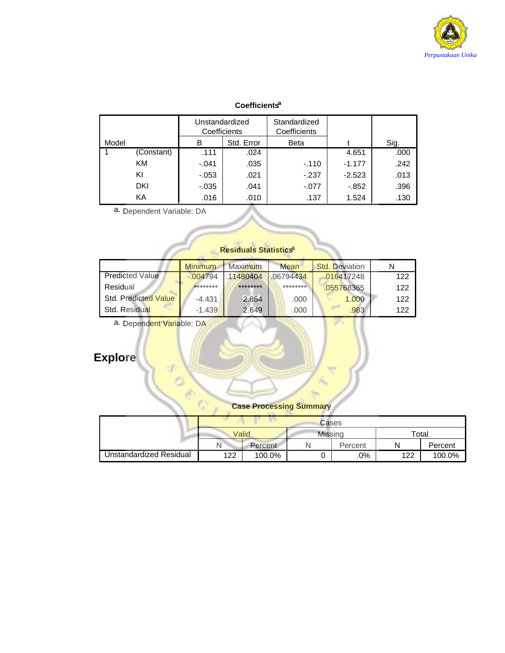

### **Coefficientsa**

|       |            | Unstandardized<br>Coefficients |            | Standardized<br>Coefficients |          |      |
|-------|------------|--------------------------------|------------|------------------------------|----------|------|
| Model |            | в                              | Std. Error | <b>Beta</b>                  |          | Sig. |
|       | (Constant) | .111                           | .024       |                              | 4.651    | .000 |
|       | KM         | $-.041$                        | .035       | $-110$                       | $-1.177$ | .242 |
|       | ΚI         | $-053$                         | .021       | $-237$                       | $-2.523$ | .013 |
|       | DKI        | $-0.035$                       | .041       | $-.077$                      | $-0.852$ | .396 |
|       | KA         | .016                           | .010       | .137                         | 1.524    | .130 |

a. Dependent Variable: DA

## **Residuals Statisticsa**

|                        | <b>Minimum</b> | <b>Maximum</b> | Mean     | Std. Deviation |     |
|------------------------|----------------|----------------|----------|----------------|-----|
| <b>Predicted Value</b> | $-004794$      | .11480404      | 06794434 | .016417248     | 122 |
| Residual               | ********       | ********       | ******** | .055768365     | 122 |
| Std. Predicted Value   | $-4.431$       | 2.854          | .000     | 1.000          | 122 |
| Std. Residual          | $-1.439$       | 2.649          | .000     | .983           | 122 |

a. Dependent Variable: DA

ď

 $\circ$ Ò.  $\mathbb{C}$ 

# **Explore**

### **Case Processing Summary**

τ

|                         |       | Cases   |                |         |       |         |  |  |
|-------------------------|-------|---------|----------------|---------|-------|---------|--|--|
|                         | Valid |         | <b>Missing</b> |         | Total |         |  |  |
|                         | N     | Percent |                | Percent | N     | Percent |  |  |
| Unstandardized Residual | 122   | 100.0%  |                | .0%     | 122   | 100.0%  |  |  |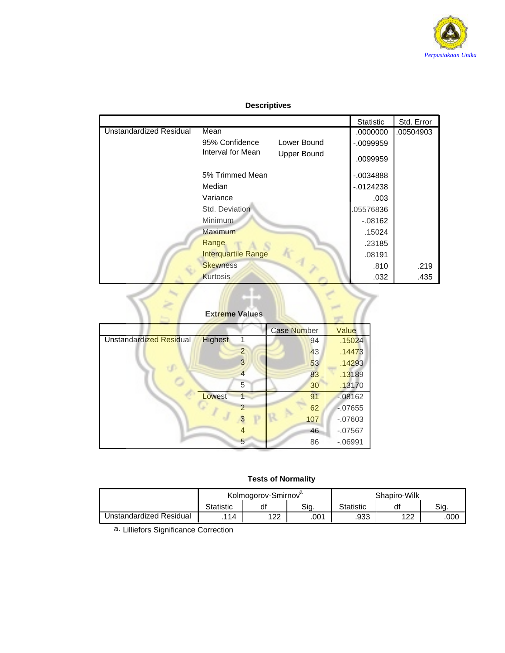

### **Descriptives**

|                                |                            |                    | Statistic   | Std. Error |
|--------------------------------|----------------------------|--------------------|-------------|------------|
| <b>Unstandardized Residual</b> | Mean                       |                    | .0000000    | .00504903  |
|                                | 95% Confidence             | Lower Bound        | $-0099959$  |            |
|                                | Interval for Mean          | <b>Upper Bound</b> | .0099959    |            |
|                                | 5% Trimmed Mean            |                    | $-0.034888$ |            |
|                                | Median                     |                    | $-0124238$  |            |
|                                | Variance                   |                    | .003        |            |
|                                | Std. Deviation             |                    | 05576836    |            |
|                                | Minimum                    |                    | $-.08162$   |            |
|                                | Maximum                    |                    | .15024      |            |
|                                | Range                      |                    | .23185      |            |
|                                | <b>Interquartile Range</b> |                    | .08191      |            |
|                                | <b>Skewness</b>            |                    | .810        | .219       |
|                                | <b>Kurtosis</b>            |                    | .032        | .435       |
|                                | <b>Extreme Values</b>      |                    |             |            |

# **Extreme Values**

|                                           |                | Case Number | Value      |
|-------------------------------------------|----------------|-------------|------------|
| Unstandardized Residual<br><b>Highest</b> |                | 94          | .15024     |
|                                           | $\overline{2}$ | 43          | .14473     |
|                                           | 3              | 53          | .14293     |
|                                           |                | 83          | .13189     |
|                                           | 5              | 30          | .13170     |
| Lowest                                    |                | 91          | $-08162$   |
|                                           |                | 62          | $-07655$   |
|                                           | D              | 107         | $-0.07603$ |
|                                           |                | 46          | $-07567$   |
|                                           | 5              | 86          | $-06991$   |

### **Tests of Normality**

|                         | Kolmogorov-Smirnov |           |      | Shapiro-Wilk     |           |      |
|-------------------------|--------------------|-----------|------|------------------|-----------|------|
|                         | <b>Statistic</b>   | df        | Sia. | <b>Statistic</b> | di        | Sig. |
| Unstandardized Residual | 114                | ィっつ<br>∠∠ | .001 | .933             | 122<br>LL | .000 |

a. Lilliefors Significance Correction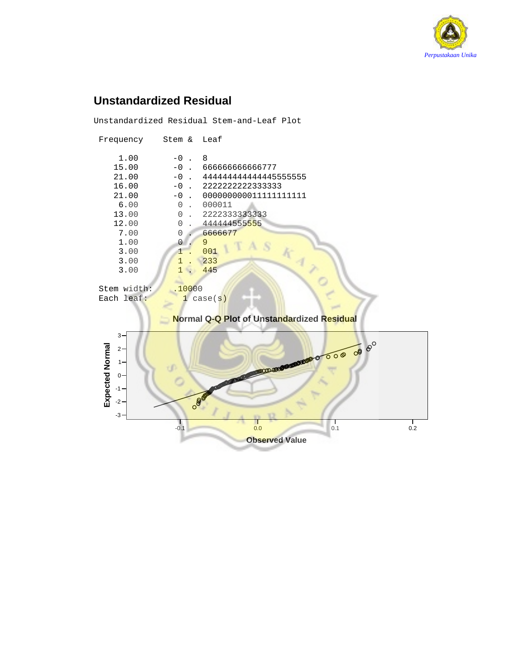

# **Unstandardized Residual**

Unstandardized Residual Stem-and-Leaf Plot

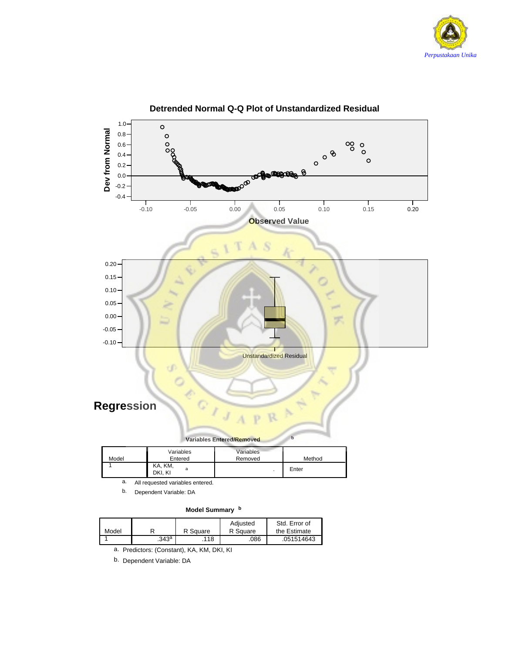



**Detrended Normal Q-Q Plot of Unstandardized Residual**

b. Dependent Variable: DA

### **Model Summary <sup>b</sup>**

| Model |       | R Square | Adiusted<br>R Square | Std. Error of<br>the Estimate |
|-------|-------|----------|----------------------|-------------------------------|
|       | .343ª | .118     | .086                 | .051514643                    |

a. Predictors: (Constant), KA, KM, DKI, KI

b. Dependent Variable: DA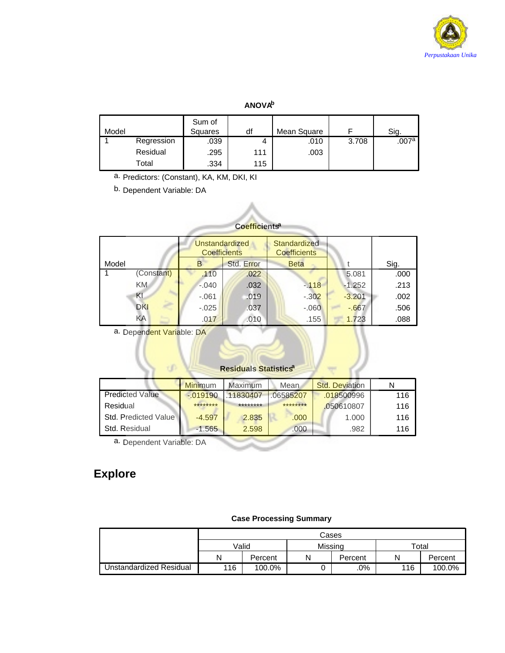

### **ANOVAb**

| Model |            | Sum of<br>Squares | df  | Mean Square |       | Sig.  |
|-------|------------|-------------------|-----|-------------|-------|-------|
|       | Regression | .039              | 4   | .010        | 3.708 | .007a |
|       | Residual   | .295              | 111 | .003        |       |       |
|       | Total      | .334              | 115 |             |       |       |

a. Predictors: (Constant), KA, KM, DKI, KI

b. Dependent Variable: DA

| Coefficients <sup>4</sup> |            |                                              |            |                                     |          |      |  |  |  |
|---------------------------|------------|----------------------------------------------|------------|-------------------------------------|----------|------|--|--|--|
|                           |            | <b>Unstandardized</b><br><b>Coefficients</b> |            | Standardized<br><b>Coefficients</b> |          |      |  |  |  |
| Model                     |            | B.                                           | Std. Error | <b>Beta</b>                         |          | Sig. |  |  |  |
|                           | (Constant) | .110                                         | .022       |                                     | 5.081    | .000 |  |  |  |
|                           | KM.        | $-.040$                                      | .032       | $-118$                              | $-1.252$ | .213 |  |  |  |
|                           | KI         | $-061$                                       | .019       | $-.302$                             | $-3.201$ | .002 |  |  |  |
|                           | <b>DKI</b> | $-0.025$                                     | .037       | $-.060$                             | $-667$   | .506 |  |  |  |
|                           | KA         | .017                                         | .010       | .155                                | 1.723    | .088 |  |  |  |

a. Dependent Variable: DA

### **Residuals Statisticsa**

|                        | <b>Minimum</b> | Maximum  | Mean.     | <b>Std. Deviation</b> |     |
|------------------------|----------------|----------|-----------|-----------------------|-----|
| <b>Predicted Value</b> | $-0.019190$    | 11830407 | .06585207 | .018500996            | 116 |
| Residual               | ********       | ******** | ********  | .050610807            | 116 |
| Std. Predicted Value   | $-4.597$       | 2.835    | .000      | 1.000                 | 116 |
| <b>Std. Residual</b>   | $-1.565$       | 2.598    | .000.     | .982                  | 116 |

a. Dependent Variable: DA

# **Explore**

### **Case Processing Summary**

|                         |       | Cases   |         |         |             |         |  |  |
|-------------------------|-------|---------|---------|---------|-------------|---------|--|--|
|                         | Valid |         | Missina |         | $\tau$ otal |         |  |  |
|                         | Ν     | Percent | N       | Percent |             | Percent |  |  |
| Unstandardized Residual | 116   | 100.0%  |         | .0%     | 116         | 100.0%  |  |  |

### **Coefficientsa**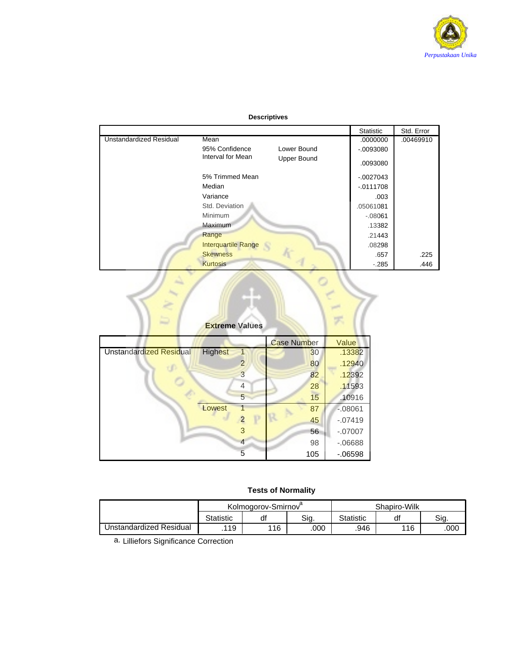

### **Descriptives**

|                                |                            |                    | Statistic  | Std. Error |
|--------------------------------|----------------------------|--------------------|------------|------------|
| <b>Unstandardized Residual</b> | Mean                       |                    | .0000000   | .00469910  |
|                                | 95% Confidence             | Lower Bound        | $-0093080$ |            |
|                                | Interval for Mean          | <b>Upper Bound</b> | .0093080   |            |
|                                | 5% Trimmed Mean            |                    | $-0027043$ |            |
|                                | Median                     |                    | $-0111708$ |            |
|                                | Variance                   |                    | .003       |            |
|                                | Std. Deviation             |                    | .05061081  |            |
|                                | Minimum                    |                    | $-.08061$  |            |
|                                | Maximum                    |                    | .13382     |            |
|                                | Range                      |                    | .21443     |            |
|                                | <b>Interquartile Range</b> |                    | .08298     |            |
|                                | <b>Skewness</b>            |                    | .657       | .225       |
|                                | <b>Kurtosis</b>            |                    | $-.285$    | .446       |
|                                | <b>Extreme Values</b>      |                    |            |            |

**Extreme Values**

|                                |                |   | <b>Case Number</b> | Value     |
|--------------------------------|----------------|---|--------------------|-----------|
| <b>Unstandardized Residual</b> | <b>Highest</b> |   | 30                 | .13382    |
|                                |                | 2 | 80                 | .12940    |
|                                |                | 3 | 82                 | .12392    |
|                                |                | 4 | 28                 | .11593    |
|                                |                | 5 | 15                 | .10916    |
|                                | Lowest         |   | 87                 | $-08061$  |
|                                |                | Ρ | 45                 | $-.07419$ |
|                                |                | 3 | 56                 | $-.07007$ |
|                                |                | 4 | 98                 | $-06688$  |
|                                |                | 5 | 105                | $-06598$  |

### **Tests of Normality**

|                         |                  | Kolmogorov-Smirnov |      | Shapiro-Wilk     |     |      |
|-------------------------|------------------|--------------------|------|------------------|-----|------|
|                         | <b>Statistic</b> | df                 | Sig. | <b>Statistic</b> | df  | Sig. |
| Jnstandardized Residual | .119             | 116                | .000 | .946             | 116 | .000 |

a. Lilliefors Significance Correction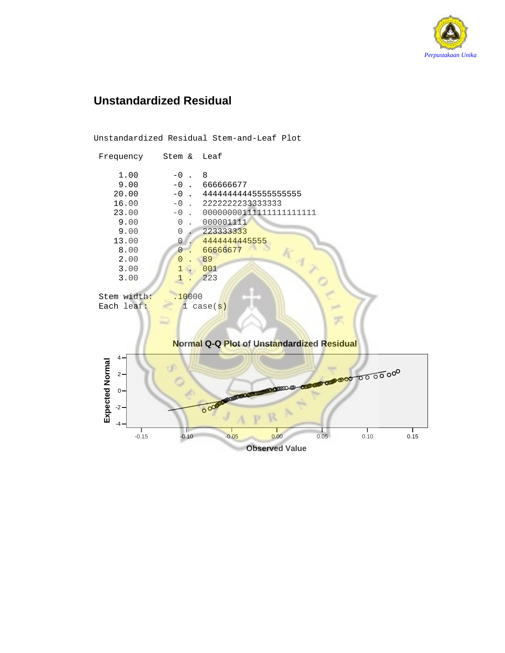

# **Unstandardized Residual**

Unstandardized Residual Stem-and-Leaf Plot Frequency Stem & Leaf  $\begin{array}{ccc} 1.00 & \quad & -0 \quad . & 8 \\ 9.00 & \quad & -0 \quad . & 6 \end{array}$  $9.00$   $-0$  . 666666677<br>20.00  $-0$  . 444444444  $\begin{array}{cccc} 20.00 & -0 . & 4444444444555555555555 \\ 16.00 & -0 . & 22222222333333333 \end{array}$  $\begin{array}{cccc} 16.00 & -0 & . & 22222222333333333 \\ 23.00 & -0 & . & 000000001111111 \end{array}$  23.00 -0 . 00000000111111111111111  $9.00$  0. 000001111<br>  $9.00$  0. 2233333333  $9.00$  0 . 223333333<br>13.00 0 . 4444444444  $\begin{array}{ccc} 13.00 & 0 & 44444444455555 \ 8.00 & 0 & 66666677 \ \end{array}$ 0 . 66666677<br>0 . 89  $2.00$   $0.89$ <br> $3.00$   $1.001$  $\begin{array}{|c|c|c|c|}\n\hline\n3.00 & 1 & 001 \\
\hline\n1 & 223 & \hline\n\end{array}$  $3.00$  1 Stem width: .10000<br>Each leaf: 1 case(s) Each leaf: **Normal Q-Q Plot of Unstandardized Residual** 4 Expected Normal **Expected Normal**  $2 -$ CRUCCH pomo  $0 -$ **DELL'ANTIQUES** odo -2 -4 -0.15 -0.10 -0.05 0.00 0.05 0.10 0.15 **Observed Value**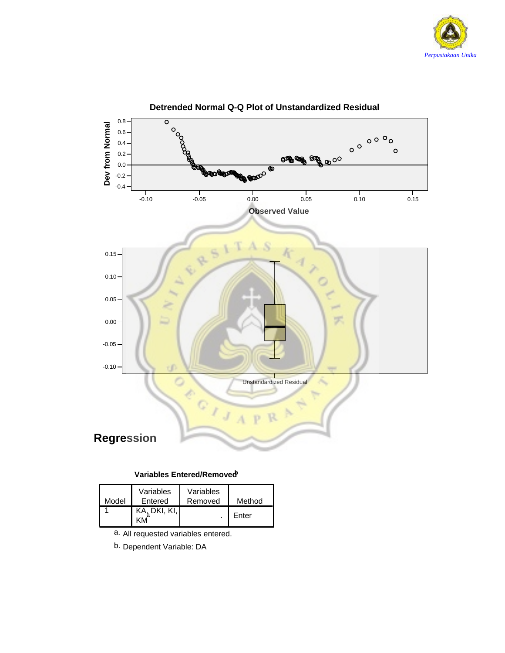



### **Detrended Normal Q-Q Plot of Unstandardized Residual**

### **Variables Entered/Removedb**

| Model | Variables<br>Entered | Variables<br>Removed | Method |
|-------|----------------------|----------------------|--------|
|       | KA, DKI, KI,         |                      | Enter  |

- a. All requested variables entered.
- b. Dependent Variable: DA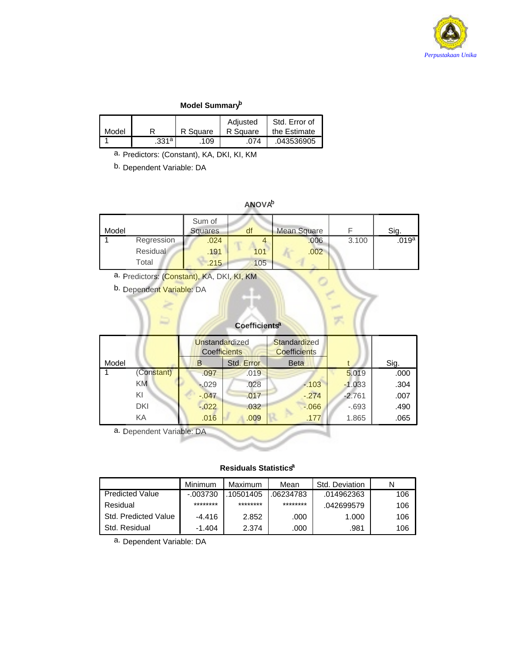

### **Model Summaryb**

|       |          |          | Adjusted | Std. Error of |
|-------|----------|----------|----------|---------------|
| Model |          | R Square | R Square | the Estimate  |
|       | $.331^a$ | .109     | .074     | .043536905    |

a. Predictors: (Constant), KA, DKI, KI, KM

b. Dependent Variable: DA

### **ANOVAb**

| Model |            | Sum of<br>Squares | df  | <b>Mean Square</b> |       | Sig.  |
|-------|------------|-------------------|-----|--------------------|-------|-------|
|       | Regression | .024              |     | .006               | 3.100 | .019a |
|       | Residual   | .191              | 101 | .002               |       |       |
|       | Total      | .215              | 105 |                    |       |       |

a. Predictors: (Constant), KA, DKI, KI, KM

b. Dependent Variable: DA

# **Coefficientsa**

|       |            |          | Unstandardized<br><b>Coefficients</b> |            | <b>Standardized</b><br><b>Coefficients</b> |          |      |
|-------|------------|----------|---------------------------------------|------------|--------------------------------------------|----------|------|
| Model |            | B        |                                       | Std. Error | <b>Beta</b>                                |          | Sig. |
|       | (Constant) |          | .097                                  | .019       |                                            | 5.019    | .000 |
|       | KM.        | $-029$   |                                       | .028       | $-103$                                     | $-1.033$ | .304 |
|       | KI         | $-0.047$ |                                       | .017       | $-274$                                     | $-2.761$ | .007 |
|       | DKI        | $-0.022$ |                                       | .032       | $-0.066$                                   | $-0.693$ | .490 |
|       | KA         |          | .016                                  | .009       | .177                                       | 1.865    | .065 |

a. Dependent Variable: DA

### **Residuals Statisticsa**

|                             | Minimum     | Maximum   | Mean      | Std. Deviation |     |
|-----------------------------|-------------|-----------|-----------|----------------|-----|
| <b>Predicted Value</b>      | $-0.003730$ | .10501405 | .06234783 | .014962363     | 106 |
| Residual                    | ********    | ********  | ********  | .042699579     | 106 |
| <b>Std. Predicted Value</b> | $-4.416$    | 2.852     | .000      | 1.000          | 106 |
| Std. Residual               | $-1.404$    | 2.374     | .000      | .981           | 106 |

a. Dependent Variable: DA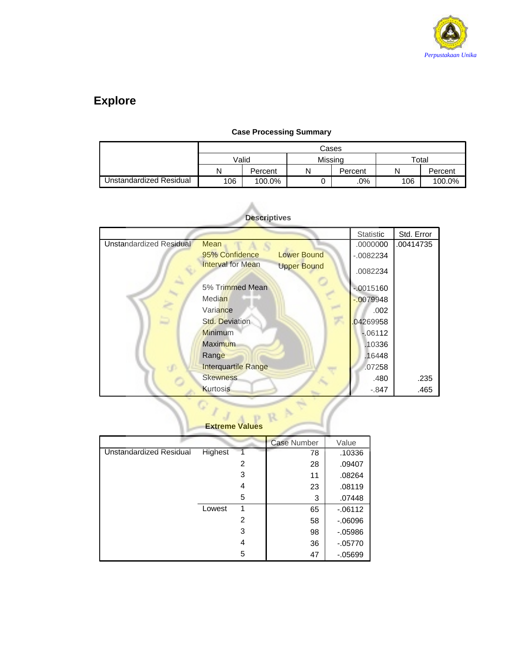

# **Explore**

|                         |                                | Cases   |         |         |       |         |  |  |  |
|-------------------------|--------------------------------|---------|---------|---------|-------|---------|--|--|--|
|                         |                                | Valid   | Missina |         | Total |         |  |  |  |
|                         | Ν                              | Percent | Ν       | Percent | N     | Percent |  |  |  |
| Unstandardized Residual | 106<br>$.0\%$<br>106<br>100.0% |         |         |         |       | 100.0%  |  |  |  |

### **Case Processing Summary**

|                         |                                                | Statistic   | Std. Error |
|-------------------------|------------------------------------------------|-------------|------------|
| Unstandardized Residual | Mean                                           | .0000000    | .00414735  |
|                         | 95% Confidence<br><b>Lower Bound</b>           | $-0.082234$ |            |
|                         | <b>Interval for Mean</b><br><b>Upper Bound</b> | .0082234    |            |
|                         | 5% Trimmed Mean                                | $-0015160$  |            |
|                         | <b>Median</b>                                  | $-0079948$  |            |
|                         | Variance                                       | .002        |            |
| ۵                       | Std. Deviation                                 | 04269958    |            |
|                         | <b>Minimum</b>                                 | $-06112$    |            |
|                         | <b>Maximum</b>                                 | .10336      |            |
|                         | Range                                          | .16448      |            |
|                         | <b>Interquartile Range</b>                     | .07258      |            |
|                         | <b>Skewness</b>                                | .480        | .235       |
|                         | <b>Kurtosis</b>                                | $-.847$     | .465       |

### **Descriptives**

O

|                                |         | <b>Extreme Values</b> |                    |          |
|--------------------------------|---------|-----------------------|--------------------|----------|
|                                |         |                       | <b>Case Number</b> | Value    |
| <b>Unstandardized Residual</b> | Highest |                       | 78                 | .10336   |
|                                |         | 2                     | 28                 | .09407   |
|                                |         | 3                     | 11                 | .08264   |
|                                |         | 4                     | 23                 | .08119   |
|                                |         | 5                     | 3                  | .07448   |
|                                | Lowest  | 1                     | 65                 | $-06112$ |
|                                |         | 2                     | 58                 | $-06096$ |
|                                |         | 3                     | 98                 | $-05986$ |
|                                |         | 4                     | 36                 | $-05770$ |
|                                |         | 5                     | 47                 | $-05699$ |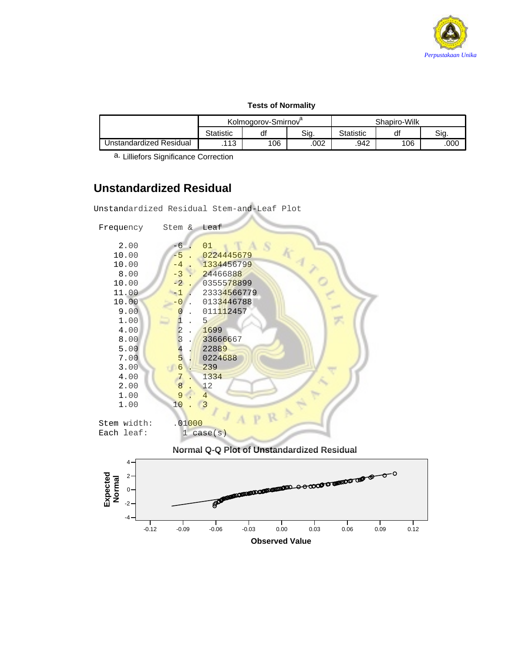

### **Tests of Normality**

|                         | Kolmogorov-Smirnov<br>Sig.<br><b>Statistic</b><br>df |     |      | Shapiro-Wilk |     |      |
|-------------------------|------------------------------------------------------|-----|------|--------------|-----|------|
|                         |                                                      |     |      | Statistic    | di  | Sia. |
| Unstandardized Residual | .113                                                 | 106 | .002 | .942         | 106 | .000 |

a. Lilliefors Significance Correction

# **Unstandardized Residual**

Unstandardized Residual Stem-and-Leaf Plot

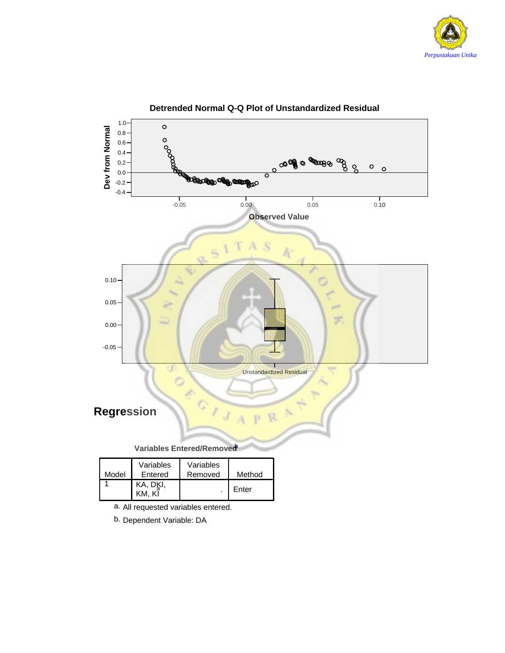



**Detrended Normal Q-Q Plot of Unstandardized Residual**

b. Dependent Variable: DA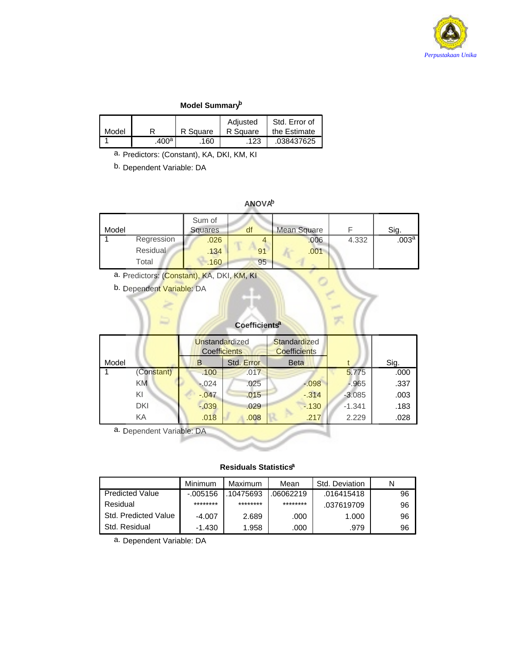

### **Model Summaryb**

|       |                   |          | Adjusted | Std. Error of |
|-------|-------------------|----------|----------|---------------|
| Model |                   | R Square | R Square | the Estimate  |
|       | .400 <sup>a</sup> | 160      | .123     | .038437625    |

a. Predictors: (Constant), KA, DKI, KM, KI

b. Dependent Variable: DA

### **ANOVAb**

| Model |            | Sum of<br>Squares | df | Mean Square |       | Sig.              |
|-------|------------|-------------------|----|-------------|-------|-------------------|
|       | Regression | .026              |    | .006        | 4.332 | .003 <sup>a</sup> |
|       | Residual   | .134              | 91 | .001        |       |                   |
|       | Total      | .160              | 95 |             |       |                   |

a. Predictors: (Constant), KA, DKI, KM, KI

b. Dependent Variable: DA

### **Coefficientsa**

t.<br>Text

|       |            |   | Unstandardized<br><b>Coefficients</b> |            | <b>Standardized</b><br><b>Coefficients</b> |          |      |
|-------|------------|---|---------------------------------------|------------|--------------------------------------------|----------|------|
| Model |            | B |                                       | Std. Error | <b>Beta</b>                                |          | Sig. |
|       | (Constant) |   | .100                                  | .017       |                                            | 5.775    | .000 |
|       | KM.        |   | $-0.024$                              | .025       | $-0.98$                                    | $-0.965$ | .337 |
|       | KI         |   | $-0.047$                              | .015       | $-0.314$                                   | $-3.085$ | .003 |
|       | <b>DKI</b> |   | $-0.039$                              | .029       | $-130$                                     | $-1.341$ | .183 |
|       | KA         |   | .018                                  | .008       | .217                                       | 2.229    | .028 |

a. Dependent Variable: DA

### **Residuals Statisticsa**

|                        | Minimum     | Maximum   | Mean     | Std. Deviation |    |
|------------------------|-------------|-----------|----------|----------------|----|
| <b>Predicted Value</b> | $-0.005156$ | .10475693 | 06062219 | .016415418     | 96 |
| Residual               | ********    | ********  | ******** | .037619709     | 96 |
| Std. Predicted Value   | $-4.007$    | 2.689     | .000     | 1.000          | 96 |
| Std. Residual          | $-1.430$    | 1.958     | .000     | .979           | 96 |

a. Dependent Variable: DA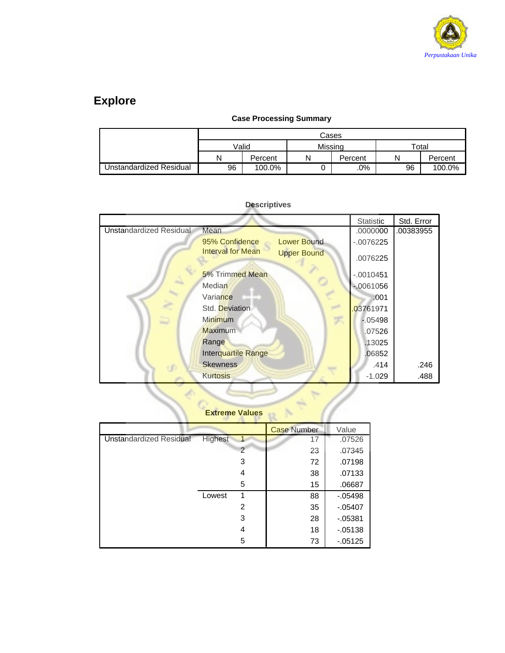

# **Explore**

### **Case Processing Summary**

|                         |                                     | Cases   |   |         |             |         |  |  |  |
|-------------------------|-------------------------------------|---------|---|---------|-------------|---------|--|--|--|
|                         |                                     | Valid   |   | Missina | $\tau$ otal |         |  |  |  |
|                         | Ν                                   | Percent | N | Percent |             | Percent |  |  |  |
| Unstandardized Residual | .0%<br>96<br>96<br>100.0%<br>100.0% |         |   |         |             |         |  |  |  |

|                                 |                    | Statistic   | Std. Error |
|---------------------------------|--------------------|-------------|------------|
| Unstandardized Residual<br>Mean |                    | .0000000    | .00383955  |
| 95% Confidence                  | <b>Lower Bound</b> | $-0076225$  |            |
| <b>Interval for Mean</b>        | <b>Upper Bound</b> | .0076225    |            |
| 5% Trimmed Mean                 |                    | $-.0010451$ |            |
| Median                          |                    | $-0061056$  |            |
| Variance                        |                    | .001        |            |
| Std. Deviation                  |                    | 03761971    |            |
| <b>Minimum</b>                  |                    | $-05498$    |            |
| Maximum                         |                    | .07526      |            |
| Range                           |                    | .13025      |            |
| Interquartile Range             |                    | .06852      |            |
| <b>Skewness</b>                 |                    | .414        | .246       |
| <b>Kurtosis</b>                 |                    | $-1.029$    | .488       |
|                                 |                    |             |            |
| <b>Extreme Values</b>           |                    |             |            |

### **Descriptives**

# **Extreme Values**

|                                |         |   | <b>Case Number</b> | Value    |
|--------------------------------|---------|---|--------------------|----------|
| <b>Unstandardized Residual</b> | Highest |   | 17                 | .07526   |
|                                |         | 2 | 23                 | .07345   |
|                                |         | 3 | 72                 | .07198   |
|                                |         | 4 | 38                 | .07133   |
|                                |         | 5 | 15                 | .06687   |
|                                | Lowest  | 1 | 88                 | $-05498$ |
|                                |         | 2 | 35                 | $-05407$ |
|                                |         | 3 | 28                 | $-05381$ |
|                                |         | 4 | 18                 | $-05138$ |
|                                |         | 5 | 73                 | $-05125$ |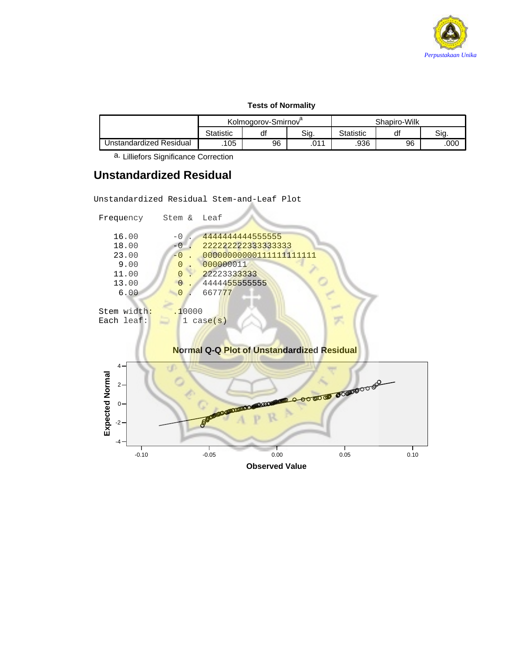

### **Tests of Normality**

|                         | Kolmogorov-Smirnov <sup>o</sup> |            |          |      | Shapiro-Wilk |      |
|-------------------------|---------------------------------|------------|----------|------|--------------|------|
|                         | Statistic                       | Sig.<br>đi |          |      | dt           | Sia  |
| Jnstandardized Residual | .105                            | 96         | n11<br>. | .936 | 96           | .00C |

a. Lilliefors Significance Correction

# **Unstandardized Residual**

Unstandardized Residual Stem-and-Leaf Plot

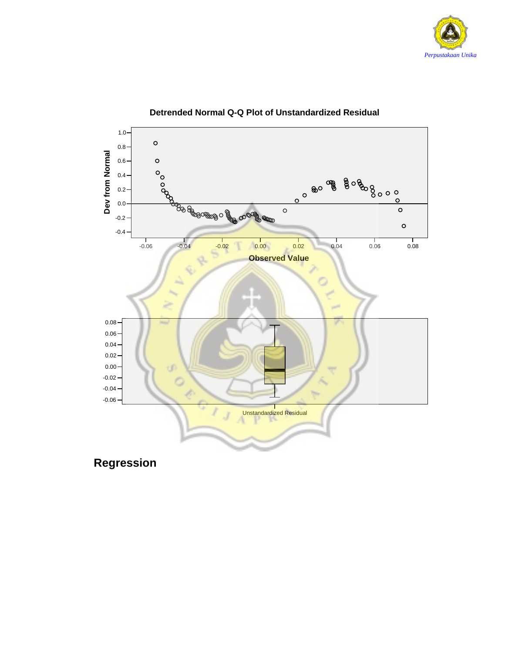



### **Detrended Normal Q-Q Plot of Unstandardized Residual**

**Regression**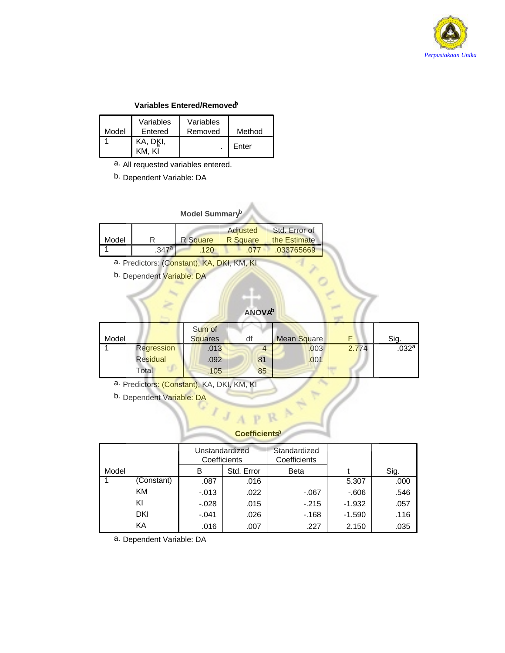

### **Variables Entered/Removedb**

| Model | Variables<br>Entered | Variables<br>Removed | Method |
|-------|----------------------|----------------------|--------|
|       | KA, DKI,<br>KM. KĪ   |                      | Enter  |

a. All requested variables entered.

b. Dependent Variable: DA

### **Model Summaryb**

| Model |       | R Square | Adjusted<br>R Square | Std. Error of<br>the Estimate |
|-------|-------|----------|----------------------|-------------------------------|
|       | .347a | 120      |                      | .033765669                    |

a. Predictors: (Constant), KA, DKI, KM, KI

b. Dependent Variable: DA

### **ANOVAb**

| Model |            | Sum of<br><b>Squares</b> |    | <b>Mean Square</b> |       | Sig.  |
|-------|------------|--------------------------|----|--------------------|-------|-------|
|       | Regression | .013                     |    | .003               | 2.774 | .032a |
|       | Residual   | .092                     | 81 | .001               |       |       |
|       | Total      | .105                     | 85 |                    |       |       |

a. Predictors: (Constant), KA, DKI, KM, KI

b. Dependent Variable: DA

### **Coefficientsa**

Ŗ.

|       |            | Unstandardized<br>Coefficients |            | Standardized<br>Coefficients |          |      |
|-------|------------|--------------------------------|------------|------------------------------|----------|------|
| Model |            | в                              | Std. Error |                              |          | Sig. |
|       | (Constant) | .087                           | .016       |                              | 5.307    | .000 |
|       | ΚM         | $-0.013$                       | .022       | -.067                        | $-606$   | .546 |
|       | KI         | $-0.028$                       | .015       | $-215$                       | $-1.932$ | .057 |
|       | DKI        | $-.041$                        | .026       | $-168$                       | $-1.590$ | .116 |
|       | KА         | .016                           | .007       | .227                         | 2.150    | .035 |

a. Dependent Variable: DA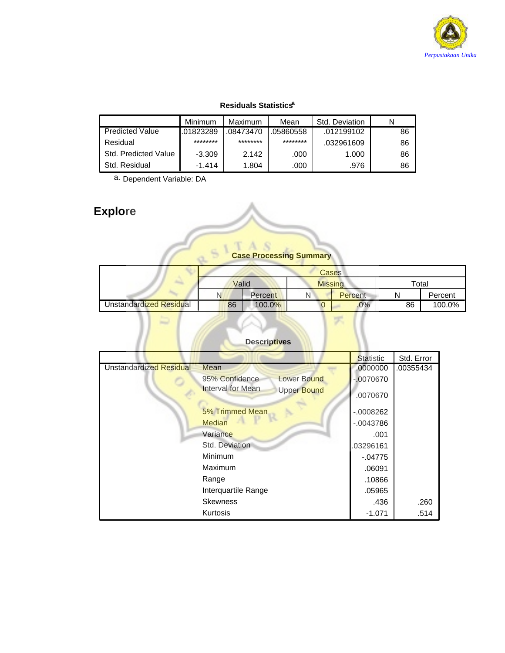

### **Residuals Statistics**<sup>a</sup>

|                        | Minimum   | Maximum   | Mean      | Std. Deviation |    |
|------------------------|-----------|-----------|-----------|----------------|----|
| <b>Predicted Value</b> | .01823289 | .08473470 | .05860558 | .012199102     | 86 |
| Residual               | ********  | ********  | ********  | .032961609     | 86 |
| Std. Predicted Value   | $-3.309$  | 2.142     | .000      | 1.000          | 86 |
| Std. Residual          | $-1.414$  | 1.804     | .000      | .976           | 86 |

a. Dependent Variable: DA

# **Explore**

# **Case Processing Summary**

|                         |       | Cases   |                |         |       |         |  |  |
|-------------------------|-------|---------|----------------|---------|-------|---------|--|--|
|                         | Valid |         | <b>Missing</b> |         | Total |         |  |  |
|                         | N.    | Percent |                | Percent |       | Percent |  |  |
| Unstandardized Residual | 86    | 100.0%  |                | 0%      | 86    | 100.0%  |  |  |

冥

### **Descriptives**

|                         |                                                | <b>Statistic</b> | Std. Error |
|-------------------------|------------------------------------------------|------------------|------------|
| Unstandardized Residual | Mean                                           | .0000000         | .00355434  |
|                         | 95% Confidence<br><b>Lower Bound</b>           | $-0070670$       |            |
|                         | <b>Interval for Mean</b><br><b>Upper Bound</b> | .0070670         |            |
|                         | 5% Trimmed Mean                                | $-0008262$       |            |
|                         | <b>Median</b>                                  | $-.0043786$      |            |
|                         | Variance                                       | .001             |            |
|                         | Std. Deviation                                 | 03296161         |            |
|                         | Minimum                                        | $-04775$         |            |
|                         | Maximum                                        | .06091           |            |
|                         | Range                                          | .10866           |            |
|                         | Interquartile Range                            | .05965           |            |
|                         | <b>Skewness</b>                                | .436             | .260       |
|                         | Kurtosis                                       | $-1.071$         | .514       |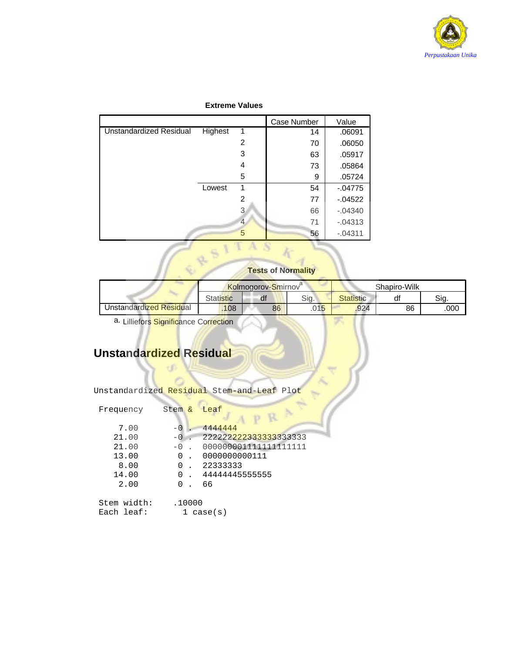

### **Extreme Values**

|                                |         |   | Case Number | Value      |
|--------------------------------|---------|---|-------------|------------|
| <b>Unstandardized Residual</b> | Highest | 1 | 14          | .06091     |
|                                |         | 2 | 70          | .06050     |
|                                |         | 3 | 63          | .05917     |
|                                |         | 4 | 73          | .05864     |
|                                |         | 5 | 9           | .05724     |
|                                | Lowest  | 1 | 54          | $-04775$   |
|                                |         | 2 | 77          | $-04522$   |
|                                |         | 3 | 66          | $-04340$   |
|                                |         |   | 71          | $-0.04313$ |
|                                |         | 5 | 56          | $-04311$   |

### **Tests of Normality**

|                         | <b>Kolmogorov-Smirnov</b> |    |                                 | Shapiro-Wilk     |    |     |
|-------------------------|---------------------------|----|---------------------------------|------------------|----|-----|
|                         | <b>Statistic</b>          | df | Sig.                            | <b>Statistic</b> | uı | Sia |
| Unstandardized Residual | .108                      | 86 | $\bigcap$ 1 $\bigcap$<br>.∪ I J | .924             | 86 | 000 |

 $\frac{1}{2}$ 

a. Lilliefors Significance Correction

# **Unstandardized Residual**

ď

| Frequency                 | Stem & | Leaf                  |
|---------------------------|--------|-----------------------|
| 7.00                      |        | 4444444               |
| 21.00                     |        | 222222222333333333333 |
| 21.00                     | $-0$   | 000000001111111111111 |
| 13.00                     | 0      | 0000000000111         |
| 8.00                      | 0      | 22333333              |
| 14.00                     | 0      | 4444445555555         |
| 2.00                      | U      | 66                    |
| Stem width:<br>Each leaf: | .10000 | l case(s)             |

Unstandardized Residual Stem-and-Leaf Plot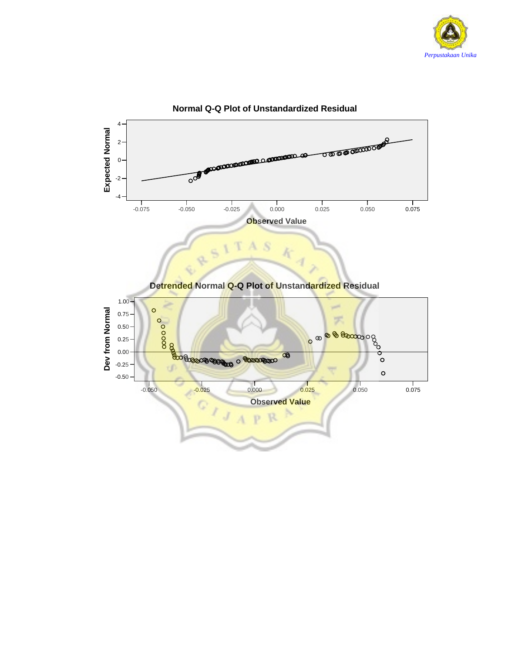



**Normal Q-Q Plot of Unstandardized Residual**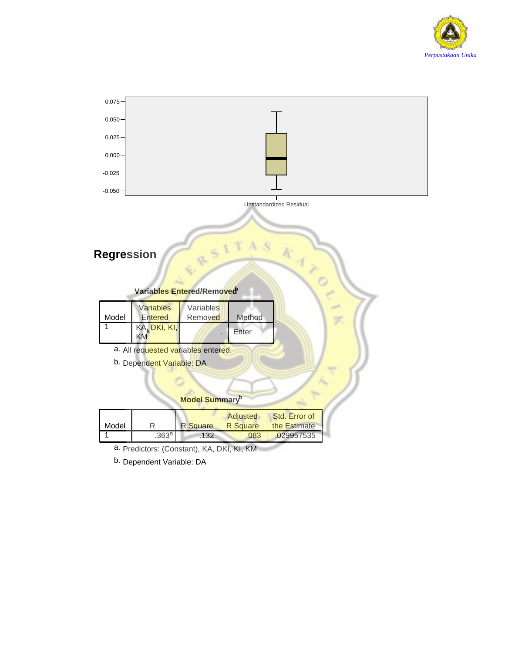



b. Dependent Variable: DA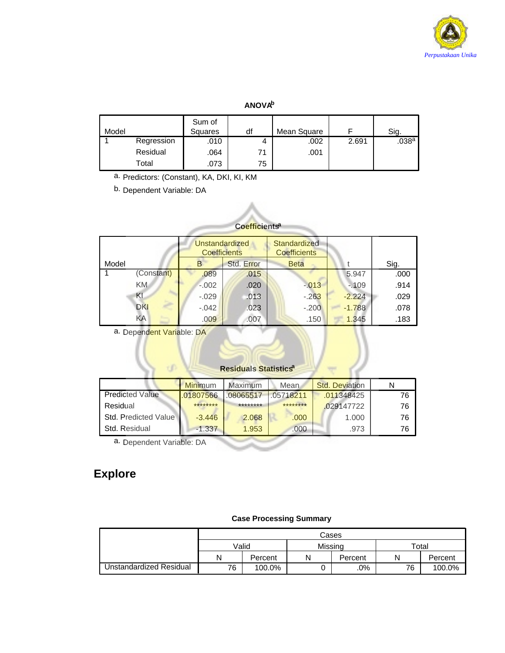

### **ANOVAb**

| Model |            | Sum of<br>Squares | df | Mean Square |       | Sig.  |
|-------|------------|-------------------|----|-------------|-------|-------|
|       | Regression | .010              | 4  | .002        | 2.691 | .038a |
|       | Residual   | .064              | 71 | .001        |       |       |
|       | Total      | .073              | 75 |             |       |       |

a. Predictors: (Constant), KA, DKI, KI, KM

b. Dependent Variable: DA

| <b>Coefficients<sup>a</sup></b> |                                              |         |                                            |             |          |      |  |  |
|---------------------------------|----------------------------------------------|---------|--------------------------------------------|-------------|----------|------|--|--|
|                                 | <b>Unstandardized</b><br><b>Coefficients</b> |         | <b>Standardized</b><br><b>Coefficients</b> |             |          |      |  |  |
| Model                           |                                              | B.      | Std. Error                                 | <b>Beta</b> |          | Sig. |  |  |
|                                 | (Constant)                                   | .089    | .015                                       |             | 5.947    | .000 |  |  |
|                                 | KM.                                          | $-.002$ | .020                                       | $-0.013$    | $-109$   | .914 |  |  |
|                                 | KI                                           | $-.029$ | .013                                       | $-263$      | $-2.224$ | .029 |  |  |
|                                 | <b>DKI</b>                                   | $-.042$ | .023                                       | $-.200$     | $-1.788$ | .078 |  |  |
|                                 | KA                                           | .009    | .007                                       | .150        | 1.345    | .183 |  |  |

a. Dependent Variable: DA

### **Residuals Statistics<sup>a</sup>**

|                        | <b>Minimum</b> | Maximum   | Mean      | <b>Std. Deviation</b> |    |
|------------------------|----------------|-----------|-----------|-----------------------|----|
| <b>Predicted Value</b> | .01807566      | .08065517 | .05718211 | .011348425            | 76 |
| Residual               | ********       | ********  | ********  | .029147722            | 76 |
| Std. Predicted Value   | $-3.446$       | 2.068     | .000      | 1.000                 | 76 |
| Std. Residual          | $-1.337$       | 1.953     | .000.     | .973                  | 76 |

a. Dependent Variable: DA

# **Explore**

### **Case Processing Summary**

|                         |       | Cases   |         |         |       |         |  |
|-------------------------|-------|---------|---------|---------|-------|---------|--|
|                         | Valid |         | Missina |         | Total |         |  |
|                         | N     | Percent |         | Percent | N     | Percent |  |
| Unstandardized Residual | 76    | 100.0%  |         | $.0\%$  | 76    | 100.0%  |  |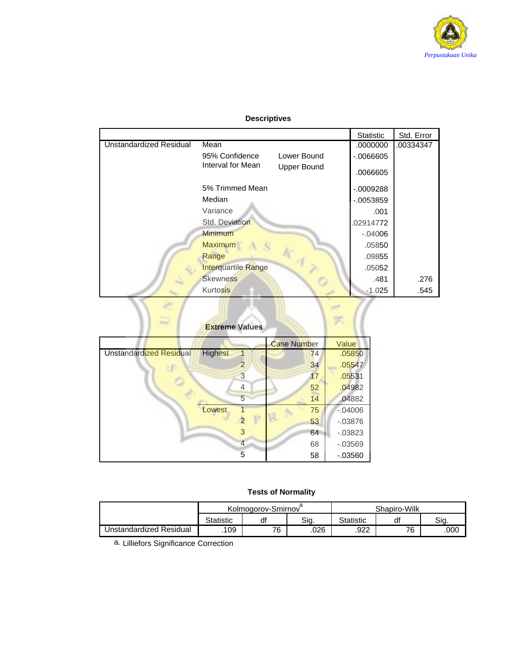

|                                |                            |                    | <b>Statistic</b> | Std. Error |
|--------------------------------|----------------------------|--------------------|------------------|------------|
| <b>Unstandardized Residual</b> | Mean                       |                    | .0000000         | .00334347  |
|                                | 95% Confidence             | Lower Bound        | $-0.0066605$     |            |
|                                | Interval for Mean          | <b>Upper Bound</b> | .0066605         |            |
|                                | 5% Trimmed Mean            |                    | $-0009288$       |            |
|                                | Median                     |                    | $-0.0053859$     |            |
|                                | Variance                   |                    | .001             |            |
|                                | Std. Deviation             |                    | 02914772         |            |
|                                | Minimum                    |                    | $-.04006$        |            |
|                                | <b>Maximum</b>             |                    | .05850           |            |
|                                | Range                      |                    | .09855           |            |
|                                | <b>Interquartile Range</b> |                    | .05052           |            |
|                                | <b>Skewness</b>            |                    | .481             | .276       |
|                                | Kurtosis                   |                    | $-1.025$         | .545       |
|                                | <b>Extreme Values</b>      |                    |                  |            |

### **Descriptives**

|                                |                |   | <b>Case Number</b> | Value      |
|--------------------------------|----------------|---|--------------------|------------|
| <b>Unstandardized Residual</b> | <b>Highest</b> |   | 74                 | .05850     |
|                                |                | 2 | 34                 | .05547     |
|                                |                | 3 | 17                 | .05531     |
|                                |                | 4 | 52                 | .04982     |
|                                |                | 5 | 14                 | .04882     |
|                                | Lowest         |   | 75                 | $-04006$   |
|                                |                |   | 53                 | $-0.03876$ |
|                                |                | 3 | 64                 | $-0.03823$ |
|                                |                | 4 | 68                 | $-0.03569$ |
|                                |                | 5 | 58                 | $-0.03560$ |

### **Tests of Normality**

|                         | Kolmogorov-Smirnov |    |      | Shapiro-Wilk |    |      |
|-------------------------|--------------------|----|------|--------------|----|------|
|                         | <b>Statistic</b>   | df | Sig. | Statistic    | d1 | Sia  |
| Jnstandardized Residual | 109                | 76 | .026 | .922         | 76 | .000 |

a. Lilliefors Significance Correction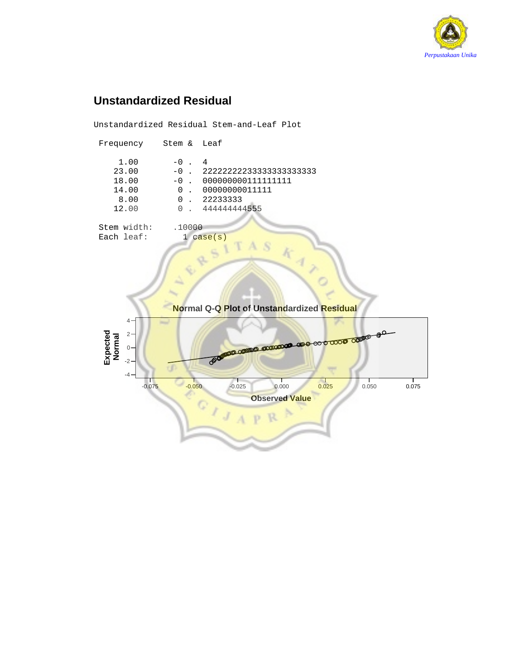

# **Unstandardized Residual**

Unstandardized Residual Stem-and-Leaf Plot

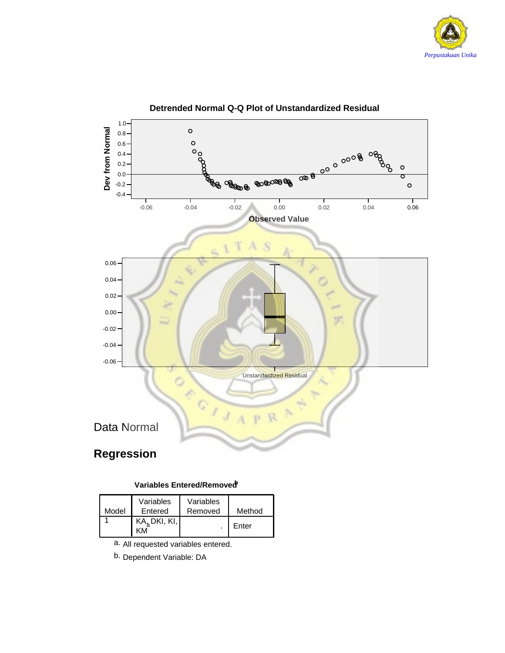



### **Detrended Normal Q-Q Plot of Unstandardized Residual**

### **Variables Entered/Removedb**

| Model | Variables<br>Entered    | Variables<br>Removed | Method |
|-------|-------------------------|----------------------|--------|
|       | $KA_{b}$ DKI, KI,<br>۷M |                      | Enter  |

a. All requested variables entered.

b. Dependent Variable: DA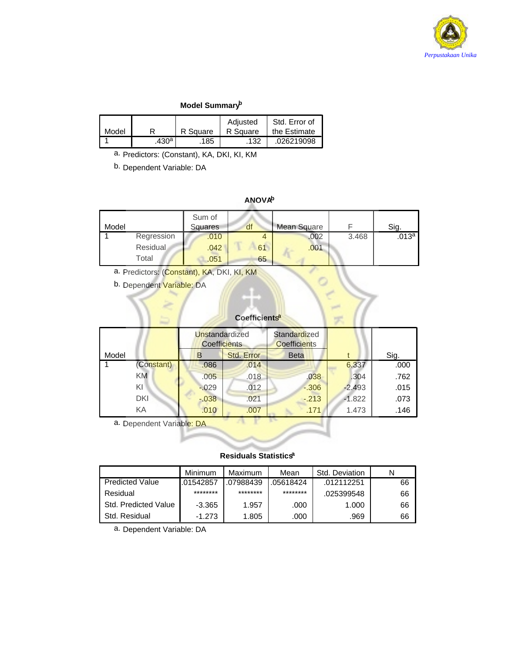

### **Model Summaryb**

|       |                   |          | Adiusted | Std. Error of |
|-------|-------------------|----------|----------|---------------|
| Model | R                 | R Square | R Square | the Estimate  |
|       | .430 <sup>a</sup> | 185      | .132     | .026219098    |

a. Predictors: (Constant), KA, DKI, KI, KM

b. Dependent Variable: DA

### **ANOVAb**

| Model |                 | Sum of<br>Squares | df | <b>Mean Square</b> |       | Sig.              |
|-------|-----------------|-------------------|----|--------------------|-------|-------------------|
|       | Regression      | .010              | 4  | .002               | 3.468 | .013 <sup>a</sup> |
|       | <b>Residual</b> | .042              | 61 | .001               |       |                   |
|       | Total           | .051              | 65 |                    |       |                   |

a. Predictors: (Constant), KA, DKI, KI, KM

b. Dependent Variable: DA

### **Coefficientsa**

J.

|       |            | Unstandardized<br><b>Coefficients</b> |            | Standardized<br><b>Coefficients</b> |          |      |
|-------|------------|---------------------------------------|------------|-------------------------------------|----------|------|
| Model |            | B                                     | Std. Error | <b>Beta</b>                         |          | Sig. |
|       | (Constant) | .086                                  | .014       |                                     | 6.337    | .000 |
|       | <b>KM</b>  | .005                                  | .018       | .038                                | .304     | .762 |
|       | ΚI         | $-029$                                | .012       | $-0.306$                            | $-2.493$ | .015 |
|       | <b>DKI</b> | $-0.038$                              | .021       | $-213$                              | $-1.822$ | .073 |
|       | KA         | .010                                  | .007       | .171                                | 1.473    | .146 |

a. Dependent Variable: DA

### **Residuals Statisticsa**

|                        | Minimum   | Maximum   | Mean      | Std. Deviation |    |
|------------------------|-----------|-----------|-----------|----------------|----|
| <b>Predicted Value</b> | .01542857 | .07988439 | .05618424 | .012112251     | 66 |
| Residual               | ********  | ********  | ********  | .025399548     | 66 |
| Std. Predicted Value   | $-3.365$  | 1.957     | .000      | 1.000          | 66 |
| Std. Residual          | $-1.273$  | 1.805     | .000      | .969           | 66 |

a. Dependent Variable: DA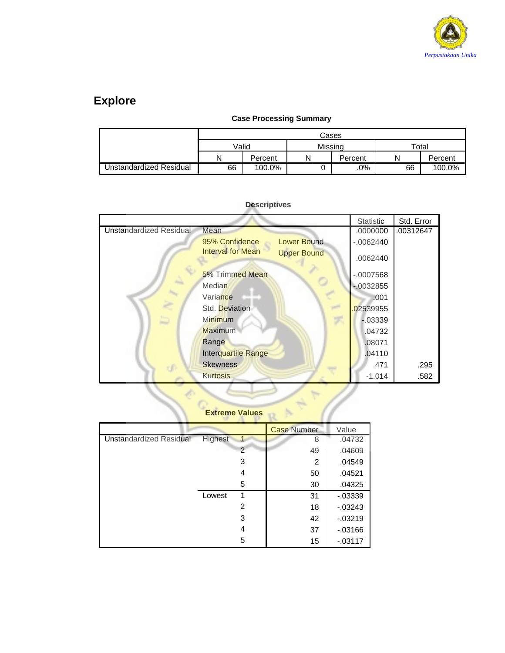

# **Explore**

### **Case Processing Summary**

|                         |    | Cases   |         |         |             |         |  |  |  |  |
|-------------------------|----|---------|---------|---------|-------------|---------|--|--|--|--|
|                         |    | Valid   | Missina |         | $\tau$ otal |         |  |  |  |  |
|                         | N  | Percent | Ν       | Percent |             | Percent |  |  |  |  |
| Unstandardized Residual | 66 | 100.0%  |         | .0%     | 66          | 100.0%  |  |  |  |  |

|                                                | Statistic   | Std. Error |
|------------------------------------------------|-------------|------------|
| <b>Unstandardized Residual</b><br>Mean         | .0000000    | .00312647  |
| <b>Lower Bound</b><br>95% Confidence           | $-0.062440$ |            |
| <b>Interval for Mean</b><br><b>Upper Bound</b> | .0062440    |            |
| 5% Trimmed Mean                                | $-.0007568$ |            |
| Median                                         | $-0032855$  |            |
| Variance                                       | .001        |            |
| Std. Deviation                                 | 02539955    |            |
| <b>Minimum</b>                                 | $-0.03339$  |            |
| Maximum                                        | .04732      |            |
| Range                                          | .08071      |            |
| Interquartile Range                            | .04110      |            |
| <b>Skewness</b>                                | .471        | .295       |
| <b>Kurtosis</b>                                | $-1.014$    | .582       |
|                                                |             |            |
| <b>Extreme Values</b>                          |             |            |

### **Descriptives**

# **Extreme Values**

|                                |         |               | <b>Case Number</b> | Value      |
|--------------------------------|---------|---------------|--------------------|------------|
| <b>Unstandardized Residual</b> | Highest | 1             | 8                  | .04732     |
|                                |         | $\mathcal{P}$ | 49                 | .04609     |
|                                |         | 3             | $\overline{2}$     | .04549     |
|                                |         | 4             | 50                 | .04521     |
|                                |         | 5             | 30                 | .04325     |
|                                | Lowest  | 1             | 31                 | $-0.03339$ |
|                                |         | 2             | 18                 | $-03243$   |
|                                |         | 3             | 42                 | $-03219$   |
|                                |         | 4             | 37                 | $-0.03166$ |
|                                |         | 5             | 15                 | $-0.03117$ |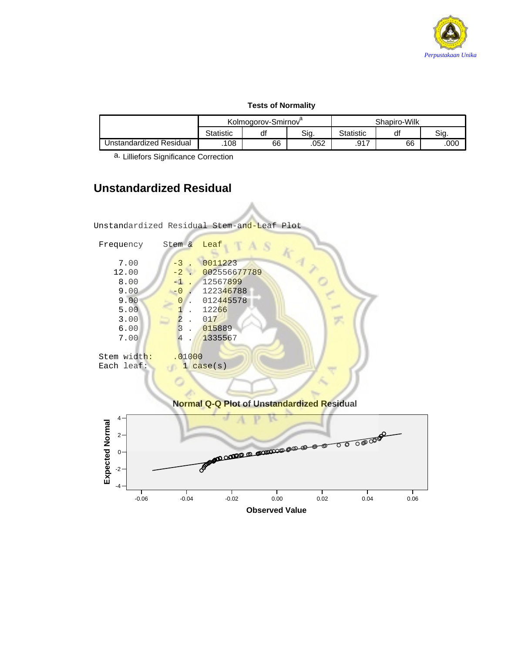

### **Tests of Normality**

|                         |                  | Kolmogorov-Smirnov |      | Shapiro-Wilk |    |      |  |
|-------------------------|------------------|--------------------|------|--------------|----|------|--|
|                         | <b>Statistic</b> | df                 | Sig. | Statistic    | di | Sia. |  |
| Unstandardized Residual | 108              | 66                 | .052 | 917<br>، ۱ ت | 66 | .000 |  |

a. Lilliefors Significance Correction

# **Unstandardized Residual**

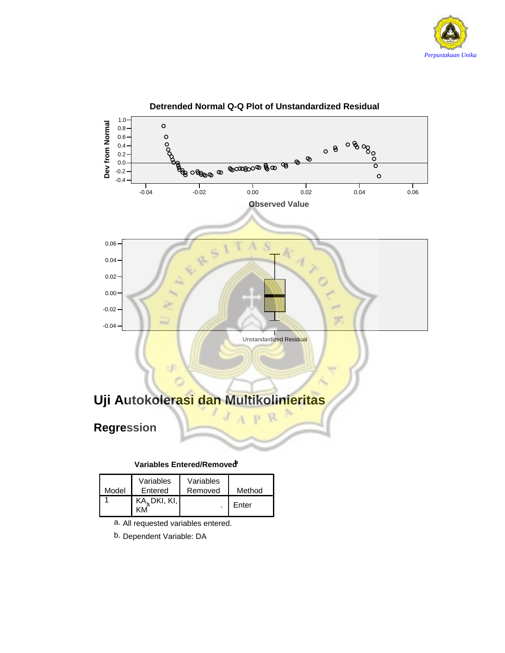



### **Detrended Normal Q-Q Plot of Unstandardized Residual**

**Variables Entered/Removedb**

| Model | Variables<br>Entered     | Variables<br>Removed | Method |
|-------|--------------------------|----------------------|--------|
|       | KA <sub>s</sub> DKI, KI, |                      | Enter  |

- a. All requested variables entered.
- b. Dependent Variable: DA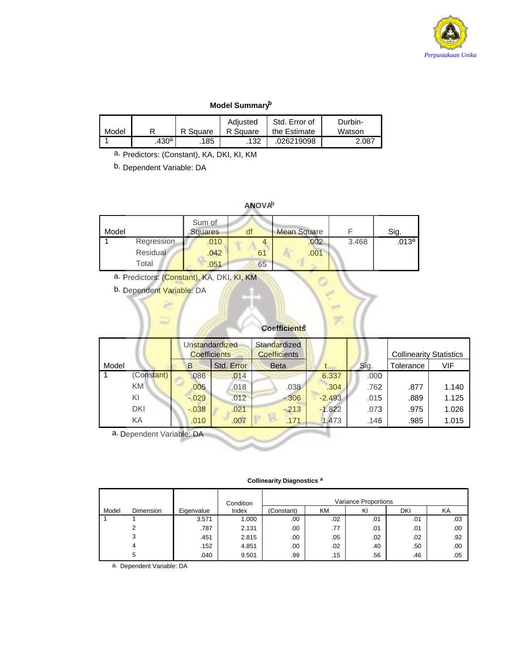

### **Model Summaryb**

|       |                   |          | Adiusted | Std. Error of | Durbin- |
|-------|-------------------|----------|----------|---------------|---------|
| Model | ם                 | R Square | R Square | the Estimate  | Watson  |
|       | .430 <sup>a</sup> | 185      | .132     | .026219098    | 2.087   |

a. Predictors: (Constant), KA, DKI, KI, KM

b. Dependent Variable: DA

### **ANOVAb**

| Model |            | Sum of<br><b>Squares</b> | df | <b>Mean Square</b> |       | Sig.              |
|-------|------------|--------------------------|----|--------------------|-------|-------------------|
|       | Regression | .010                     |    | .002               | 3.468 | .013 <sup>a</sup> |
|       | Residual   | .042                     | 61 | .001               |       |                   |
|       | Total      | .051                     | 65 |                    |       |                   |

a. Predictors: (Constant), KA, DKI, KI, KM

b. Dependent Variable: DA

### **Coefficients**

|       |                | Unstandardized<br><b>Coefficients</b> |          | Standardized<br><b>Coefficients</b> |             |          | <b>Collinearity Statistics</b> |           |       |
|-------|----------------|---------------------------------------|----------|-------------------------------------|-------------|----------|--------------------------------|-----------|-------|
| Model |                |                                       | B        | Std. Error                          | <b>Beta</b> |          | Sig.                           | Tolerance | VIF   |
|       | (Constant)     |                                       | .086     | .014                                |             | 6.337    | .000                           |           |       |
|       | KM <sup></sup> |                                       | .005     | .018                                | .038        | .304     | .762                           | .877      | 1.140 |
|       | ΚI             |                                       | $-0.029$ | .012                                | $-306$      | $-2.493$ | .015                           | .889      | 1.125 |
|       | DKI            |                                       | $-.038$  | .021                                | $-213$      | $-1.822$ | .073                           | .975      | 1.026 |
|       | ΚA             |                                       | .010     | .007                                | .171        | 1.473    | .146                           | .985      | 1.015 |

a. Dependent Variable: DA

### **Collinearity Diagnostics <sup>a</sup>**

|       |           |            | Condition | Variance Proportions |     |     |     |     |
|-------|-----------|------------|-----------|----------------------|-----|-----|-----|-----|
| Model | Dimension | Eigenvalue | Index     | (Constant)           | ΚM  | KI  | DKI | ΚA  |
|       |           | 3.571      | 1.000     | .00.                 | .02 | .01 | .01 | .03 |
|       | ົ         | .787       | 2.131     | .00.                 | .77 | .01 | .01 | .00 |
|       | 3         | .451       | 2.815     | .00.                 | .05 | .02 | .02 | .92 |
|       | 4         | .152       | 4.851     | .00.                 | .02 | .40 | .50 | .00 |
|       | 5         | .040       | 9.501     | .99                  | .15 | .56 | .46 | .05 |

a. Dependent Variable: DA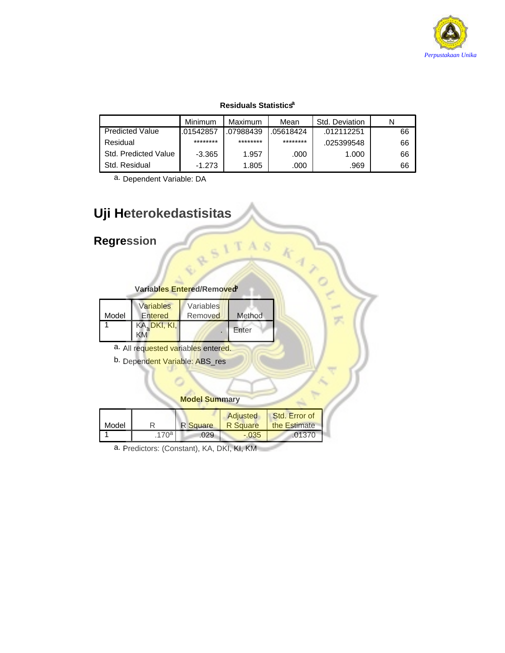

### **Residuals Statisticsa**

|                        | Minimum   | Maximum   | Mean      | Std. Deviation |    |
|------------------------|-----------|-----------|-----------|----------------|----|
| <b>Predicted Value</b> | .01542857 | .07988439 | .05618424 | .012112251     | 66 |
| Residual               | ********  | ********  | ********  | .025399548     | 66 |
| Std. Predicted Value   | $-3.365$  | 1.957     | .000      | 1.000          | 66 |
| Std. Residual          | $-1.273$  | 1.805     | .000      | .969           | 66 |

A<sub>S</sub>

 $\frac{k}{4}$ 

ö

a. Dependent Variable: DA

# **Uji Heterokedastisitas**

# **Regression**

| Variables Entered/Removed <sup>9</sup> |
|----------------------------------------|
|                                        |

| Model | Variables<br>Entered | Variables<br>Removed | Method |
|-------|----------------------|----------------------|--------|
|       | KA, DKI, KI,         |                      | Enter  |

a. All requested variables entered.

b. Dependent Variable: ABS\_res

### **Model Summary**

| Model |                  | <b>R</b> Square | Adjusted<br><b>R</b> Square | Std. Error of<br>the Estimate |
|-------|------------------|-----------------|-----------------------------|-------------------------------|
|       | 170 <sup>a</sup> | 029             | $-.035$                     | $-01370$                      |

a. Predictors: (Constant), KA, DKI, KI, KM